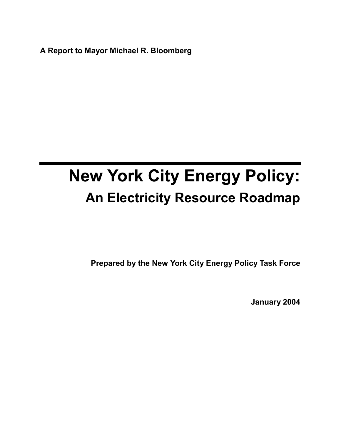**A Report to Mayor Michael R. Bloomberg**

# **New York City Energy Policy: An Electricity Resource Roadmap**

**Prepared by the New York City Energy Policy Task Force**

**January 2004**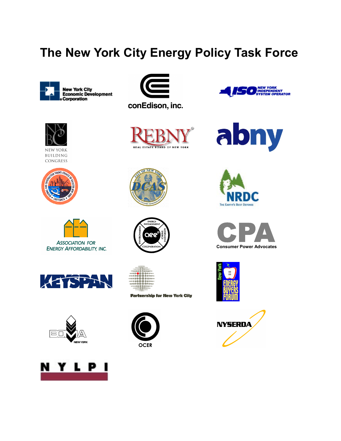# **The New York City Energy Policy Task Force**





**NEW YORK** BUILDING CONGRESS





**ENERGY AFFORDABILITY, INC.** 

















| 110107-010                     |
|--------------------------------|
| <b>CONTROL OF GUILDING TOO</b> |
| 1105年登期 像使88.011               |
| <br>●中枢™                       |
| <b></b>                        |
|                                |
|                                |
| 12月10日 田田 田田 田田 121            |
| ●●●キャッ<br>------               |
| 1983:快樂 10 10 快快快快???          |
| <b>The Hill Corp.</b>          |
| (一) (作品等等级科目)                  |
|                                |

**Partnership for New York City** 













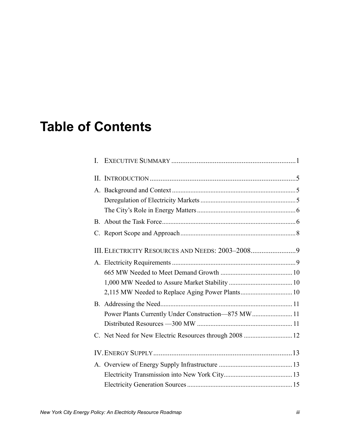# **Table of Contents**

| L.                                                      |  |
|---------------------------------------------------------|--|
|                                                         |  |
|                                                         |  |
|                                                         |  |
|                                                         |  |
|                                                         |  |
|                                                         |  |
|                                                         |  |
|                                                         |  |
|                                                         |  |
|                                                         |  |
|                                                         |  |
|                                                         |  |
| Power Plants Currently Under Construction-875 MW 11     |  |
|                                                         |  |
| C. Net Need for New Electric Resources through 2008  12 |  |
|                                                         |  |
|                                                         |  |
|                                                         |  |
|                                                         |  |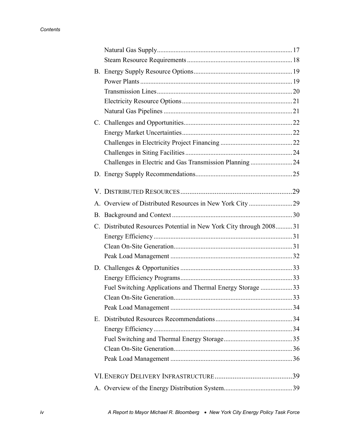| <b>B.</b> |                                                                    |  |
|-----------|--------------------------------------------------------------------|--|
|           |                                                                    |  |
|           |                                                                    |  |
|           |                                                                    |  |
|           |                                                                    |  |
|           |                                                                    |  |
|           |                                                                    |  |
|           |                                                                    |  |
|           |                                                                    |  |
|           | Challenges in Electric and Gas Transmission Planning24             |  |
|           |                                                                    |  |
|           |                                                                    |  |
|           |                                                                    |  |
|           |                                                                    |  |
| B.        |                                                                    |  |
|           | C. Distributed Resources Potential in New York City through 200831 |  |
|           |                                                                    |  |
|           |                                                                    |  |
|           |                                                                    |  |
|           |                                                                    |  |
|           |                                                                    |  |
|           |                                                                    |  |
|           | Fuel Switching Applications and Thermal Energy Storage 33          |  |
|           |                                                                    |  |
|           |                                                                    |  |
| E.        |                                                                    |  |
|           |                                                                    |  |
|           |                                                                    |  |
|           |                                                                    |  |
|           |                                                                    |  |
|           |                                                                    |  |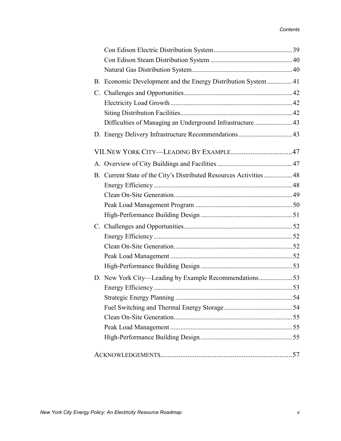| B. Economic Development and the Energy Distribution System  41      |  |
|---------------------------------------------------------------------|--|
|                                                                     |  |
|                                                                     |  |
|                                                                     |  |
| Difficulties of Managing an Underground Infrastructure43            |  |
|                                                                     |  |
|                                                                     |  |
|                                                                     |  |
| B. Current State of the City's Distributed Resources Activities  48 |  |
|                                                                     |  |
|                                                                     |  |
|                                                                     |  |
|                                                                     |  |
|                                                                     |  |
|                                                                     |  |
|                                                                     |  |
|                                                                     |  |
|                                                                     |  |
| D. New York City-Leading by Example Recommendations53               |  |
|                                                                     |  |
|                                                                     |  |
|                                                                     |  |
|                                                                     |  |
|                                                                     |  |
|                                                                     |  |
|                                                                     |  |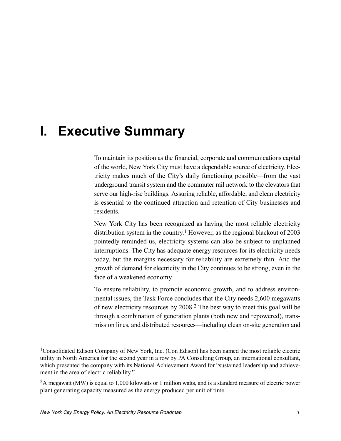# <span id="page-8-0"></span>**I. Executive Summary**

To maintain its position as the financial, corporate and communications capital of the world, New York City must have a dependable source of electricity. Electricity makes much of the City's daily functioning possible—from the vast underground transit system and the commuter rail network to the elevators that serve our high-rise buildings. Assuring reliable, affordable, and clean electricity is essential to the continued attraction and retention of City businesses and residents.

New York City has been recognized as having the most reliable electricity distribution system in the country.<sup>1</sup> However, as the regional blackout of 2003 pointedly reminded us, electricity systems can also be subject to unplanned interruptions. The City has adequate energy resources for its electricity needs today, but the margins necessary for reliability are extremely thin. And the growth of demand for electricity in the City continues to be strong, even in the face of a weakened economy.

To ensure reliability, to promote economic growth, and to address environmental issues, the Task Force concludes that the City needs 2,600 megawatts of new electricity resources by 2008.2 The best way to meet this goal will be through a combination of generation plants (both new and repowered), transmission lines, and distributed resources—including clean on-site generation and

<u>.</u>

<sup>1</sup>Consolidated Edison Company of New York, Inc. (Con Edison) has been named the most reliable electric utility in North America for the second year in a row by PA Consulting Group, an international consultant, which presented the company with its National Achievement Award for "sustained leadership and achievement in the area of electric reliability."

<sup>2</sup>A megawatt (MW) is equal to 1,000 kilowatts or 1 million watts, and is a standard measure of electric power plant generating capacity measured as the energy produced per unit of time.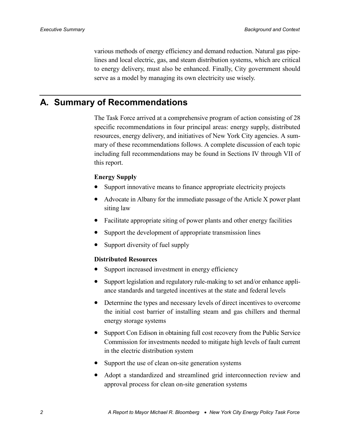various methods of energy efficiency and demand reduction. Natural gas pipelines and local electric, gas, and steam distribution systems, which are critical to energy delivery, must also be enhanced. Finally, City government should serve as a model by managing its own electricity use wisely.

## **A. Summary of Recommendations**

The Task Force arrived at a comprehensive program of action consisting of 28 specific recommendations in four principal areas: energy supply, distributed resources, energy delivery, and initiatives of New York City agencies. A summary of these recommendations follows. A complete discussion of each topic including full recommendations may be found in Sections [IV](#page-20-0) through [VII](#page-54-0) of this report.

#### **Energy Supply**

- Support innovative means to finance appropriate electricity projects
- Advocate in Albany for the immediate passage of the Article X power plant siting law
- Facilitate appropriate siting of power plants and other energy facilities
- Support the development of appropriate transmission lines
- Support diversity of fuel supply

#### **Distributed Resources**

- Support increased investment in energy efficiency
- Support legislation and regulatory rule-making to set and/or enhance appliance standards and targeted incentives at the state and federal levels
- Determine the types and necessary levels of direct incentives to overcome the initial cost barrier of installing steam and gas chillers and thermal energy storage systems
- Support Con Edison in obtaining full cost recovery from the Public Service Commission for investments needed to mitigate high levels of fault current in the electric distribution system
- Support the use of clean on-site generation systems
- Adopt a standardized and streamlined grid interconnection review and approval process for clean on-site generation systems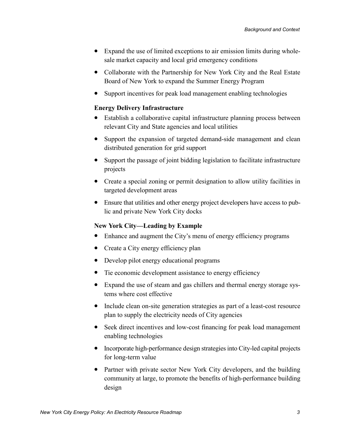- Expand the use of limited exceptions to air emission limits during wholesale market capacity and local grid emergency conditions
- Collaborate with the Partnership for New York City and the Real Estate Board of New York to expand the Summer Energy Program
- Support incentives for peak load management enabling technologies

#### **Energy Delivery Infrastructure**

- Establish a collaborative capital infrastructure planning process between relevant City and State agencies and local utilities
- Support the expansion of targeted demand-side management and clean distributed generation for grid support
- Support the passage of joint bidding legislation to facilitate infrastructure projects
- Create a special zoning or permit designation to allow utility facilities in targeted development areas
- Ensure that utilities and other energy project developers have access to public and private New York City docks

#### **New York City—Leading by Example**

- Enhance and augment the City's menu of energy efficiency programs
- Create a City energy efficiency plan
- Develop pilot energy educational programs
- Tie economic development assistance to energy efficiency
- Expand the use of steam and gas chillers and thermal energy storage systems where cost effective
- Include clean on-site generation strategies as part of a least-cost resource plan to supply the electricity needs of City agencies
- Seek direct incentives and low-cost financing for peak load management enabling technologies
- Incorporate high-performance design strategies into City-led capital projects for long-term value
- Partner with private sector New York City developers, and the building community at large, to promote the benefits of high-performance building design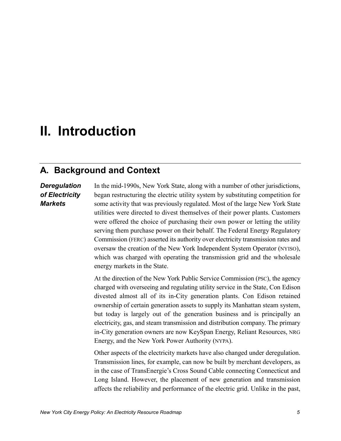# <span id="page-12-0"></span>**II. Introduction**

## **A. Background and Context**

### *Deregulation of Electricity Markets*

In the mid-1990s, New York State, along with a number of other jurisdictions, began restructuring the electric utility system by substituting competition for some activity that was previously regulated. Most of the large New York State utilities were directed to divest themselves of their power plants. Customers were offered the choice of purchasing their own power or letting the utility serving them purchase power on their behalf. The Federal Energy Regulatory Commission (FERC) asserted its authority over electricity transmission rates and oversaw the creation of the New York Independent System Operator (NYISO), which was charged with operating the transmission grid and the wholesale energy markets in the State.

At the direction of the New York Public Service Commission (PSC), the agency charged with overseeing and regulating utility service in the State, Con Edison divested almost all of its in-City generation plants. Con Edison retained ownership of certain generation assets to supply its Manhattan steam system, but today is largely out of the generation business and is principally an electricity, gas, and steam transmission and distribution company. The primary in-City generation owners are now KeySpan Energy, Reliant Resources, NRG Energy, and the New York Power Authority (NYPA).

Other aspects of the electricity markets have also changed under deregulation. Transmission lines, for example, can now be built by merchant developers, as in the case of TransEnergie's Cross Sound Cable connecting Connecticut and Long Island. However, the placement of new generation and transmission affects the reliability and performance of the electric grid. Unlike in the past,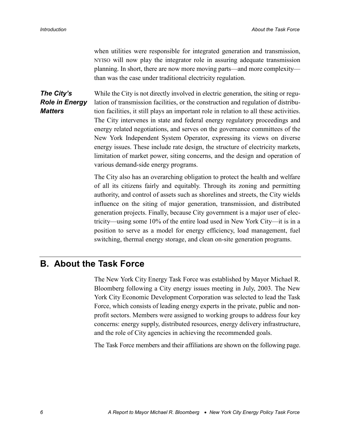when utilities were responsible for integrated generation and transmission, NYISO will now play the integrator role in assuring adequate transmission planning. In short, there are now more moving parts—and more complexity than was the case under traditional electricity regulation.

<span id="page-13-0"></span>While the City is not directly involved in electric generation, the siting or regulation of transmission facilities, or the construction and regulation of distribution facilities, it still plays an important role in relation to all these activities. The City intervenes in state and federal energy regulatory proceedings and energy related negotiations, and serves on the governance committees of the New York Independent System Operator, expressing its views on diverse energy issues. These include rate design, the structure of electricity markets, limitation of market power, siting concerns, and the design and operation of various demand-side energy programs. *The City's Role in Energy Matters*

> The City also has an overarching obligation to protect the health and welfare of all its citizens fairly and equitably. Through its zoning and permitting authority, and control of assets such as shorelines and streets, the City wields influence on the siting of major generation, transmission, and distributed generation projects. Finally, because City government is a major user of electricity—using some 10% of the entire load used in New York City—it is in a position to serve as a model for energy efficiency, load management, fuel switching, thermal energy storage, and clean on-site generation programs.

## **B. About the Task Force**

The New York City Energy Task Force was established by Mayor Michael R. Bloomberg following a City energy issues meeting in July, 2003. The New York City Economic Development Corporation was selected to lead the Task Force, which consists of leading energy experts in the private, public and nonprofit sectors. Members were assigned to working groups to address four key concerns: energy supply, distributed resources, energy delivery infrastructure, and the role of City agencies in achieving the recommended goals.

The Task Force members and their affiliations are shown on the following page.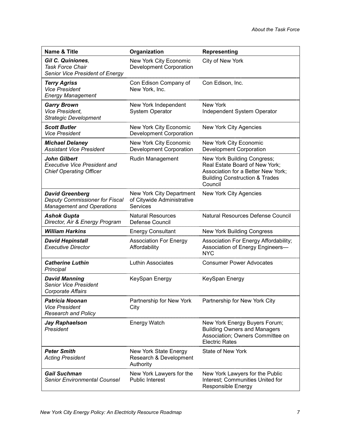| <b>Name &amp; Title</b>                                                                      | Organization                                                       | <b>Representing</b>                                                                                                                                         |
|----------------------------------------------------------------------------------------------|--------------------------------------------------------------------|-------------------------------------------------------------------------------------------------------------------------------------------------------------|
| Gil C. Quiniones,<br><b>Task Force Chair</b><br>Senior Vice President of Energy              | New York City Economic<br><b>Development Corporation</b>           | City of New York                                                                                                                                            |
| <b>Terry Agriss</b><br><b>Vice President</b><br><b>Energy Management</b>                     | Con Edison Company of<br>New York, Inc.                            | Con Edison, Inc.                                                                                                                                            |
| <b>Garry Brown</b><br>Vice President,<br><b>Strategic Development</b>                        | New York Independent<br><b>System Operator</b>                     | New York<br>Independent System Operator                                                                                                                     |
| <b>Scott Butler</b><br><b>Vice President</b>                                                 | New York City Economic<br><b>Development Corporation</b>           | New York City Agencies                                                                                                                                      |
| <b>Michael Delaney</b><br><b>Assistant Vice President</b>                                    | New York City Economic<br><b>Development Corporation</b>           | New York City Economic<br><b>Development Corporation</b>                                                                                                    |
| <b>John Gilbert</b><br><b>Executive Vice President and</b><br><b>Chief Operating Officer</b> | <b>Rudin Management</b>                                            | New York Building Congress;<br>Real Estate Board of New York;<br>Association for a Better New York;<br><b>Building Construction &amp; Trades</b><br>Council |
| <b>David Greenberg</b><br>Deputy Commissioner for Fiscal<br><b>Management and Operations</b> | New York City Department<br>of Citywide Administrative<br>Services | New York City Agencies                                                                                                                                      |
| <b>Ashok Gupta</b><br>Director, Air & Energy Program                                         | <b>Natural Resources</b><br>Defense Council                        | Natural Resources Defense Council                                                                                                                           |
| <b>William Harkins</b>                                                                       | <b>Energy Consultant</b>                                           | New York Building Congress                                                                                                                                  |
| <b>David Hepinstall</b><br><b>Executive Director</b>                                         | <b>Association For Energy</b><br>Affordability                     | Association For Energy Affordability;<br>Association of Energy Engineers-<br><b>NYC</b>                                                                     |
| <b>Catherine Luthin</b><br>Principal                                                         | Luthin Associates                                                  | <b>Consumer Power Advocates</b>                                                                                                                             |
| <b>David Manning</b><br><b>Senior Vice President</b><br><b>Corporate Affairs</b>             | KeySpan Energy                                                     | KeySpan Energy                                                                                                                                              |
| <b>Patricia Noonan</b><br><b>Vice President</b><br><b>Research and Policy</b>                | Partnership for New York<br>City                                   | Partnership for New York City                                                                                                                               |
| Jay Raphaelson<br>President                                                                  | <b>Energy Watch</b>                                                | New York Energy Buyers Forum;<br><b>Building Owners and Managers</b><br>Association; Owners Committee on<br><b>Electric Rates</b>                           |
| <b>Peter Smith</b><br><b>Acting President</b>                                                | New York State Energy<br>Research & Development<br>Authority       | State of New York                                                                                                                                           |
| <b>Gail Suchman</b><br><b>Senior Environmental Counsel</b>                                   | New York Lawyers for the<br><b>Public Interest</b>                 | New York Lawyers for the Public<br>Interest; Communities United for<br><b>Responsible Energy</b>                                                            |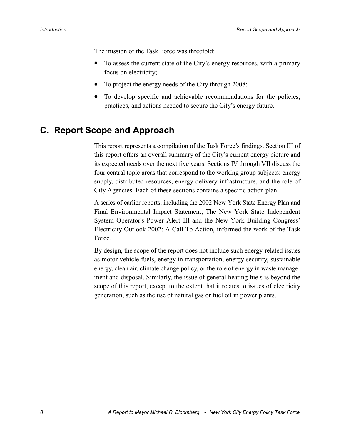<span id="page-15-0"></span>The mission of the Task Force was threefold:

- To assess the current state of the City's energy resources, with a primary focus on electricity;
- To project the energy needs of the City through 2008;
- To develop specific and achievable recommendations for the policies, practices, and actions needed to secure the City's energy future.

## **C. Report Scope and Approach**

This report represents a compilation of the Task Force's findings. Section [III](#page-16-0) of this report offers an overall summary of the City's current energy picture and its expected needs over the next five years. Sections [IV](#page-20-0) through [VII](#page-54-0) discuss the four central topic areas that correspond to the working group subjects: energy supply, distributed resources, energy delivery infrastructure, and the role of City Agencies. Each of these sections contains a specific action plan.

A series of earlier reports, including the 2002 New York State Energy Plan and Final Environmental Impact Statement, The New York State Independent System Operator's Power Alert III and the New York Building Congress' Electricity Outlook 2002: A Call To Action, informed the work of the Task Force.

By design, the scope of the report does not include such energy-related issues as motor vehicle fuels, energy in transportation, energy security, sustainable energy, clean air, climate change policy, or the role of energy in waste management and disposal. Similarly, the issue of general heating fuels is beyond the scope of this report, except to the extent that it relates to issues of electricity generation, such as the use of natural gas or fuel oil in power plants.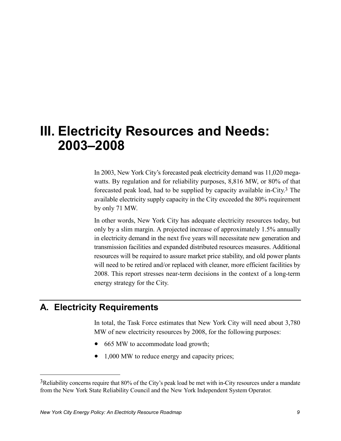# <span id="page-16-0"></span>**III. Electricity Resources and Needs: 2003–2008**

In 2003, New York City's forecasted peak electricity demand was 11,020 megawatts. By regulation and for reliability purposes, 8,816 MW, or 80% of that forecasted peak load, had to be supplied by capacity available in-City.3 The available electricity supply capacity in the City exceeded the 80% requirement by only 71 MW.

In other words, New York City has adequate electricity resources today, but only by a slim margin. A projected increase of approximately 1.5% annually in electricity demand in the next five years will necessitate new generation and transmission facilities and expanded distributed resources measures. Additional resources will be required to assure market price stability, and old power plants will need to be retired and/or replaced with cleaner, more efficient facilities by 2008. This report stresses near-term decisions in the context of a long-term energy strategy for the City.

## **A. Electricity Requirements**

1

In total, the Task Force estimates that New York City will need about 3,780 MW of new electricity resources by 2008, for the following purposes:

- 665 MW to accommodate load growth;
- 1,000 MW to reduce energy and capacity prices;

<sup>3</sup>Reliability concerns require that 80% of the City's peak load be met with in-City resources under a mandate from the New York State Reliability Council and the New York Independent System Operator.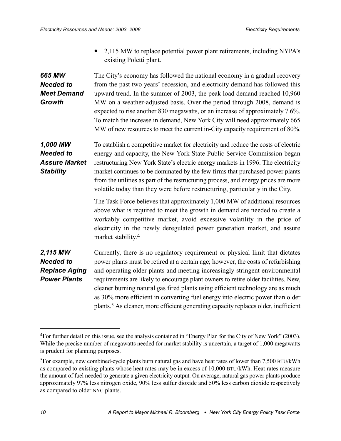• 2,115 MW to replace potential power plant retirements, including NYPA's existing Poletti plant.

#### <span id="page-17-0"></span>The City's economy has followed the national economy in a gradual recovery from the past two years' recession, and electricity demand has followed this upward trend. In the summer of 2003, the peak load demand reached 10,960 MW on a weather-adjusted basis. Over the period through 2008, demand is expected to rise another 830 megawatts, or an increase of approximately 7.6%. To match the increase in demand, New York City will need approximately 665 MW of new resources to meet the current in-City capacity requirement of 80%. *665 MW Needed to Meet Demand Growth*

To establish a competitive market for electricity and reduce the costs of electric energy and capacity, the New York State Public Service Commission began restructuring New York State's electric energy markets in 1996. The electricity market continues to be dominated by the few firms that purchased power plants from the utilities as part of the restructuring process, and energy prices are more volatile today than they were before restructuring, particularly in the City. *1,000 MW Needed to Assure Market Stability*

> The Task Force believes that approximately 1,000 MW of additional resources above what is required to meet the growth in demand are needed to create a workably competitive market, avoid excessive volatility in the price of electricity in the newly deregulated power generation market, and assure market stability.4

#### Currently, there is no regulatory requirement or physical limit that dictates power plants must be retired at a certain age; however, the costs of refurbishing and operating older plants and meeting increasingly stringent environmental requirements are likely to encourage plant owners to retire older facilities. New, cleaner burning natural gas fired plants using efficient technology are as much as 30% more efficient in converting fuel energy into electric power than older plants.5 As cleaner, more efficient generating capacity replaces older, inefficient *2,115 MW Needed to Replace Aging Power Plants*

1

<sup>4</sup>For further detail on this issue, see the analysis contained in "Energy Plan for the City of New York" (2003). While the precise number of megawatts needed for market stability is uncertain, a target of 1,000 megawatts is prudent for planning purposes.

<sup>5</sup>For example, new combined-cycle plants burn natural gas and have heat rates of lower than 7,500 BTU/kWh as compared to existing plants whose heat rates may be in excess of 10,000 BTU/kWh. Heat rates measure the amount of fuel needed to generate a given electricity output. On average, natural gas power plants produce approximately 97% less nitrogen oxide, 90% less sulfur dioxide and 50% less carbon dioxide respectively as compared to older NYC plants.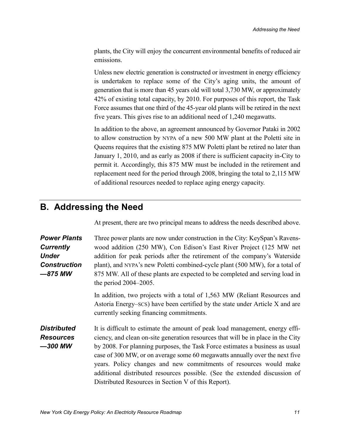<span id="page-18-0"></span>plants, the City will enjoy the concurrent environmental benefits of reduced air emissions.

Unless new electric generation is constructed or investment in energy efficiency is undertaken to replace some of the City's aging units, the amount of generation that is more than 45 years old will total 3,730 MW, or approximately 42% of existing total capacity, by 2010. For purposes of this report, the Task Force assumes that one third of the 45-year old plants will be retired in the next five years. This gives rise to an additional need of 1,240 megawatts.

In addition to the above, an agreement announced by Governor Pataki in 2002 to allow construction by NYPA of a new 500 MW plant at the Poletti site in Queens requires that the existing 875 MW Poletti plant be retired no later than January 1, 2010, and as early as 2008 if there is sufficient capacity in-City to permit it. Accordingly, this 875 MW must be included in the retirement and replacement need for the period through 2008, bringing the total to 2,115 MW of additional resources needed to replace aging energy capacity.

## **B. Addressing the Need**

At present, there are two principal means to address the needs described above.

| <b>Power Plants</b><br><b>Currently</b><br><b>Under</b><br><b>Construction</b><br>$-875$ MW | Three power plants are now under construction in the City: KeySpan's Ravens-<br>wood addition (250 MW), Con Edison's East River Project (125 MW net<br>addition for peak periods after the retirement of the company's Waterside<br>plant), and NYPA's new Poletti combined-cycle plant (500 MW), for a total of<br>875 MW. All of these plants are expected to be completed and serving load in<br>the period $2004-2005$ .                                                                                                              |
|---------------------------------------------------------------------------------------------|-------------------------------------------------------------------------------------------------------------------------------------------------------------------------------------------------------------------------------------------------------------------------------------------------------------------------------------------------------------------------------------------------------------------------------------------------------------------------------------------------------------------------------------------|
|                                                                                             | In addition, two projects with a total of 1,563 MW (Reliant Resources and<br>Astoria Energy–SCS) have been certified by the state under Article X and are<br>currently seeking financing commitments.                                                                                                                                                                                                                                                                                                                                     |
| <b>Distributed</b><br><b>Resources</b><br>$-300$ MW                                         | It is difficult to estimate the amount of peak load management, energy effi-<br>ciency, and clean on-site generation resources that will be in place in the City<br>by 2008. For planning purposes, the Task Force estimates a business as usual<br>case of 300 MW, or on average some 60 megawatts annually over the next five<br>years. Policy changes and new commitments of resources would make<br>additional distributed resources possible. (See the extended discussion of<br>Distributed Resources in Section V of this Report). |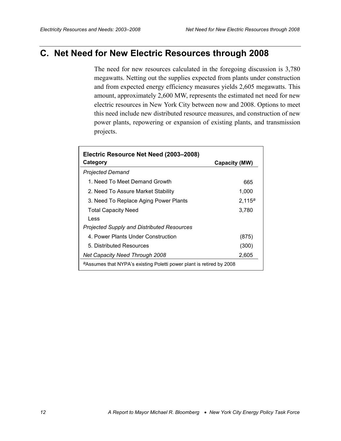## <span id="page-19-0"></span>**C. Net Need for New Electric Resources through 2008**

The need for new resources calculated in the foregoing discussion is 3,780 megawatts. Netting out the supplies expected from plants under construction and from expected energy efficiency measures yields 2,605 megawatts. This amount, approximately 2,600 MW, represents the estimated net need for new electric resources in New York City between now and 2008. Options to meet this need include new distributed resource measures, and construction of new power plants, repowering or expansion of existing plants, and transmission projects.

| Electric Resource Net Need (2003–2008)<br>Category                               |               |
|----------------------------------------------------------------------------------|---------------|
|                                                                                  | Capacity (MW) |
| <b>Projected Demand</b>                                                          |               |
| 1. Need To Meet Demand Growth                                                    | 665           |
| 2. Need To Assure Market Stability                                               | 1,000         |
| 3. Need To Replace Aging Power Plants                                            | $2,115^a$     |
| <b>Total Capacity Need</b>                                                       | 3,780         |
| Less                                                                             |               |
| <b>Projected Supply and Distributed Resources</b>                                |               |
| 4. Power Plants Under Construction                                               | (875)         |
| 5. Distributed Resources                                                         | (300)         |
| <b>Net Capacity Need Through 2008</b>                                            | 2,605         |
| <sup>a</sup> Assumes that NYPA's existing Poletti power plant is retired by 2008 |               |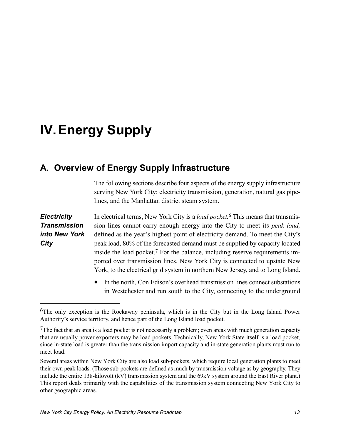# <span id="page-20-0"></span>**IV. Energy Supply**

## **A. Overview of Energy Supply Infrastructure**

The following sections describe four aspects of the energy supply infrastructure serving New York City: electricity transmission, generation, natural gas pipelines, and the Manhattan district steam system.

*Electricity Transmission into New York City*

 $\overline{a}$ 

In electrical terms, New York City is a *load pocket.*6 This means that transmission lines cannot carry enough energy into the City to meet its *peak load,* defined as the year's highest point of electricity demand. To meet the City's peak load, 80% of the forecasted demand must be supplied by capacity located inside the load pocket.<sup>7</sup> For the balance, including reserve requirements imported over transmission lines, New York City is connected to upstate New York, to the electrical grid system in northern New Jersey, and to Long Island.

• In the north, Con Edison's overhead transmission lines connect substations in Westchester and run south to the City, connecting to the underground

<sup>6</sup>The only exception is the Rockaway peninsula, which is in the City but in the Long Island Power Authority's service territory, and hence part of the Long Island load pocket.

<sup>7</sup>The fact that an area is a load pocket is not necessarily a problem; even areas with much generation capacity that are usually power exporters may be load pockets. Technically, New York State itself is a load pocket, since in-state load is greater than the transmission import capacity and in-state generation plants must run to meet load.

Several areas within New York City are also load sub-pockets, which require local generation plants to meet their own peak loads. (Those sub-pockets are defined as much by transmission voltage as by geography. They include the entire 138-kilovolt (kV) transmission system and the 69kV system around the East River plant.) This report deals primarily with the capabilities of the transmission system connecting New York City to other geographic areas.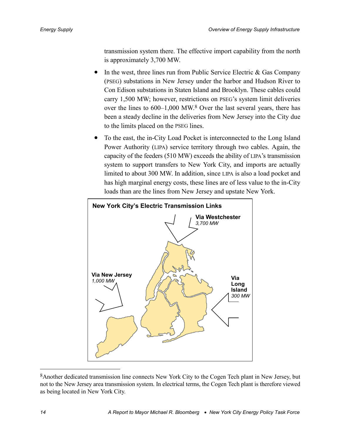transmission system there. The effective import capability from the north is approximately 3,700 MW.

- In the west, three lines run from Public Service Electric  $\&$  Gas Company (PSEG) substations in New Jersey under the harbor and Hudson River to Con Edison substations in Staten Island and Brooklyn. These cables could carry 1,500 MW; however, restrictions on PSEG's system limit deliveries over the lines to 600–1,000 MW.8 Over the last several years, there has been a steady decline in the deliveries from New Jersey into the City due to the limits placed on the PSEG lines.
- To the east, the in-City Load Pocket is interconnected to the Long Island Power Authority (LIPA) service territory through two cables. Again, the capacity of the feeders (510 MW) exceeds the ability of LIPA's transmission system to support transfers to New York City, and imports are actually limited to about 300 MW. In addition, since LIPA is also a load pocket and has high marginal energy costs, these lines are of less value to the in-City loads than are the lines from New Jersey and upstate New York.



<sup>8</sup>Another dedicated transmission line connects New York City to the Cogen Tech plant in New Jersey, but not to the New Jersey area transmission system. In electrical terms, the Cogen Tech plant is therefore viewed as being located in New York City.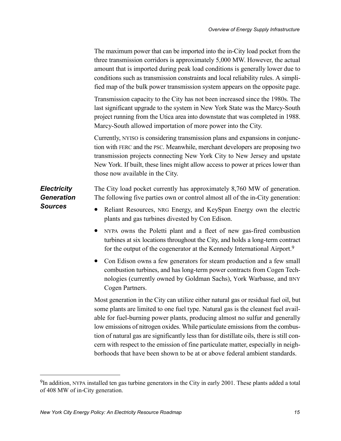<span id="page-22-0"></span>

|                                                           | The maximum power that can be imported into the in-City load pocket from the<br>three transmission corridors is approximately 5,000 MW. However, the actual<br>amount that is imported during peak load conditions is generally lower due to<br>conditions such as transmission constraints and local reliability rules. A simpli-<br>fied map of the bulk power transmission system appears on the opposite page.                                                                                                            |
|-----------------------------------------------------------|-------------------------------------------------------------------------------------------------------------------------------------------------------------------------------------------------------------------------------------------------------------------------------------------------------------------------------------------------------------------------------------------------------------------------------------------------------------------------------------------------------------------------------|
|                                                           | Transmission capacity to the City has not been increased since the 1980s. The<br>last significant upgrade to the system in New York State was the Marcy-South<br>project running from the Utica area into downstate that was completed in 1988.<br>Marcy-South allowed importation of more power into the City.                                                                                                                                                                                                               |
|                                                           | Currently, NYISO is considering transmission plans and expansions in conjunc-<br>tion with FERC and the PSC. Meanwhile, merchant developers are proposing two<br>transmission projects connecting New York City to New Jersey and upstate<br>New York. If built, these lines might allow access to power at prices lower than<br>those now available in the City.                                                                                                                                                             |
| <b>Electricity</b><br><b>Generation</b><br><b>Sources</b> | The City load pocket currently has approximately 8,760 MW of generation.<br>The following five parties own or control almost all of the in-City generation:<br>Reliant Resources, NRG Energy, and KeySpan Energy own the electric<br>$\bullet$                                                                                                                                                                                                                                                                                |
|                                                           | plants and gas turbines divested by Con Edison.<br>NYPA owns the Poletti plant and a fleet of new gas-fired combustion<br>$\bullet$<br>turbines at six locations throughout the City, and holds a long-term contract<br>for the output of the cogenerator at the Kennedy International Airport. <sup>9</sup>                                                                                                                                                                                                                  |
|                                                           | Con Edison owns a few generators for steam production and a few small<br>$\bullet$<br>combustion turbines, and has long-term power contracts from Cogen Tech-<br>nologies (currently owned by Goldman Sachs), York Warbasse, and BNY<br>Cogen Partners.                                                                                                                                                                                                                                                                       |
|                                                           | Most generation in the City can utilize either natural gas or residual fuel oil, but<br>some plants are limited to one fuel type. Natural gas is the cleanest fuel avail-<br>able for fuel-burning power plants, producing almost no sulfur and generally<br>low emissions of nitrogen oxides. While particulate emissions from the combus-<br>tion of natural gas are significantly less than for distillate oils, there is still con-<br>cern with respect to the emission of fine particulate matter, especially in neigh- |

borhoods that have been shown to be at or above federal ambient standards.

<sup>&</sup>lt;sup>9</sup>In addition, NYPA installed ten gas turbine generators in the City in early 2001. These plants added a total of 408 MW of in-City generation.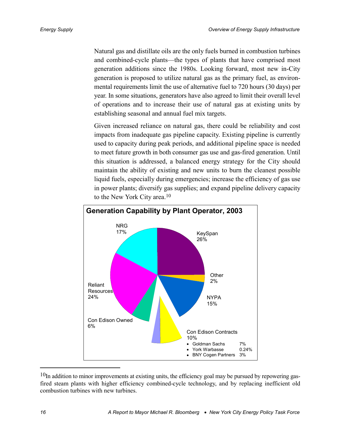Natural gas and distillate oils are the only fuels burned in combustion turbines and combined-cycle plants—the types of plants that have comprised most generation additions since the 1980s. Looking forward, most new in-City generation is proposed to utilize natural gas as the primary fuel, as environmental requirements limit the use of alternative fuel to 720 hours (30 days) per year. In some situations, generators have also agreed to limit their overall level of operations and to increase their use of natural gas at existing units by establishing seasonal and annual fuel mix targets.

Given increased reliance on natural gas, there could be reliability and cost impacts from inadequate gas pipeline capacity. Existing pipeline is currently used to capacity during peak periods, and additional pipeline space is needed to meet future growth in both consumer gas use and gas-fired generation. Until this situation is addressed, a balanced energy strategy for the City should maintain the ability of existing and new units to burn the cleanest possible liquid fuels, especially during emergencies; increase the efficiency of gas use in power plants; diversify gas supplies; and expand pipeline delivery capacity to the New York City area.10



<sup>&</sup>lt;sup>10</sup>In addition to minor improvements at existing units, the efficiency goal may be pursued by repowering gasfired steam plants with higher efficiency combined-cycle technology, and by replacing inefficient old combustion turbines with new turbines.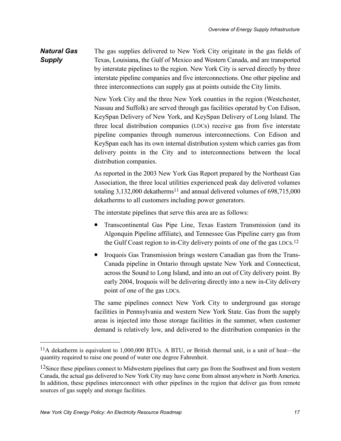<span id="page-24-0"></span>The gas supplies delivered to New York City originate in the gas fields of Texas, Louisiana, the Gulf of Mexico and Western Canada, and are transported by interstate pipelines to the region. New York City is served directly by three interstate pipeline companies and five interconnections. One other pipeline and three interconnections can supply gas at points outside the City limits. *Natural Gas Supply*

> New York City and the three New York counties in the region (Westchester, Nassau and Suffolk) are served through gas facilities operated by Con Edison, KeySpan Delivery of New York, and KeySpan Delivery of Long Island. The three local distribution companies (LDCs) receive gas from five interstate pipeline companies through numerous interconnections. Con Edison and KeySpan each has its own internal distribution system which carries gas from delivery points in the City and to interconnections between the local distribution companies.

> As reported in the 2003 New York Gas Report prepared by the Northeast Gas Association, the three local utilities experienced peak day delivered volumes totaling  $3,132,000$  dekatherms<sup>11</sup> and annual delivered volumes of  $698,715,000$ dekatherms to all customers including power generators.

The interstate pipelines that serve this area are as follows:

- Transcontinental Gas Pipe Line, Texas Eastern Transmission (and its Algonquin Pipeline affiliate), and Tennessee Gas Pipeline carry gas from the Gulf Coast region to in-City delivery points of one of the gas LDCs.12
- Iroquois Gas Transmission brings western Canadian gas from the Trans-Canada pipeline in Ontario through upstate New York and Connecticut, across the Sound to Long Island, and into an out of City delivery point. By early 2004, Iroquois will be delivering directly into a new in-City delivery point of one of the gas LDCs.

The same pipelines connect New York City to underground gas storage facilities in Pennsylvania and western New York State. Gas from the supply areas is injected into those storage facilities in the summer, when customer demand is relatively low, and delivered to the distribution companies in the

<sup>11</sup>A dekatherm is equivalent to 1,000,000 BTUs. A BTU, or British thermal unit, is a unit of heat—the quantity required to raise one pound of water one degree Fahrenheit.

<sup>&</sup>lt;sup>12</sup>Since these pipelines connect to Midwestern pipelines that carry gas from the Southwest and from western Canada, the actual gas delivered to New York City may have come from almost anywhere in North America. In addition, these pipelines interconnect with other pipelines in the region that deliver gas from remote sources of gas supply and storage facilities.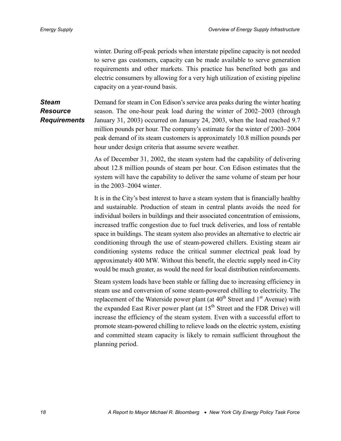<span id="page-25-0"></span>winter. During off-peak periods when interstate pipeline capacity is not needed to serve gas customers, capacity can be made available to serve generation requirements and other markets. This practice has benefited both gas and electric consumers by allowing for a very high utilization of existing pipeline capacity on a year-round basis.

Demand for steam in Con Edison's service area peaks during the winter heating season. The one-hour peak load during the winter of 2002–2003 (through January 31, 2003) occurred on January 24, 2003, when the load reached 9.7 million pounds per hour. The company's estimate for the winter of 2003–2004 peak demand of its steam customers is approximately 10.8 million pounds per hour under design criteria that assume severe weather. *Steam Resource Requirements*

> As of December 31, 2002, the steam system had the capability of delivering about 12.8 million pounds of steam per hour. Con Edison estimates that the system will have the capability to deliver the same volume of steam per hour in the 2003–2004 winter.

> It is in the City's best interest to have a steam system that is financially healthy and sustainable. Production of steam in central plants avoids the need for individual boilers in buildings and their associated concentration of emissions, increased traffic congestion due to fuel truck deliveries, and loss of rentable space in buildings. The steam system also provides an alternative to electric air conditioning through the use of steam-powered chillers. Existing steam air conditioning systems reduce the critical summer electrical peak load by approximately 400 MW. Without this benefit, the electric supply need in-City would be much greater, as would the need for local distribution reinforcements.

> Steam system loads have been stable or falling due to increasing efficiency in steam use and conversion of some steam-powered chilling to electricity. The replacement of the Waterside power plant (at  $40^{th}$  Street and  $1^{st}$  Avenue) with the expanded East River power plant (at  $15<sup>th</sup>$  Street and the FDR Drive) will increase the efficiency of the steam system. Even with a successful effort to promote steam-powered chilling to relieve loads on the electric system, existing and committed steam capacity is likely to remain sufficient throughout the planning period.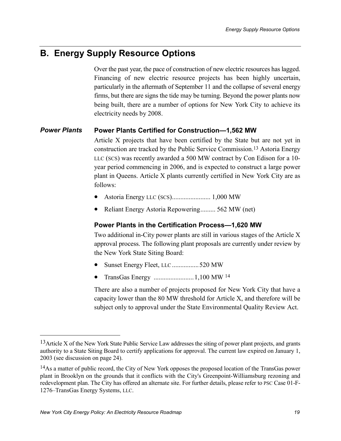## <span id="page-26-0"></span>**B. Energy Supply Resource Options**

Over the past year, the pace of construction of new electric resources has lagged. Financing of new electric resource projects has been highly uncertain, particularly in the aftermath of September 11 and the collapse of several energy firms, but there are signs the tide may be turning. Beyond the power plants now being built, there are a number of options for New York City to achieve its electricity needs by 2008.

#### **Power Plants Certified for Construction—1,562 MW** *Power Plants*

Article X projects that have been certified by the State but are not yet in construction are tracked by the Public Service Commission.13 Astoria Energy LLC (SCS) was recently awarded a 500 MW contract by Con Edison for a 10 year period commencing in 2006, and is expected to construct a large power plant in Queens. Article X plants currently certified in New York City are as follows:

- Astoria Energy LLC (SCS)....................... 1,000 MW
- Reliant Energy Astoria Repowering......... 562 MW (net)

#### **Power Plants in the Certification Process—1,620 MW**

Two additional in-City power plants are still in various stages of the Article X approval process. The following plant proposals are currently under review by the New York State Siting Board:

- Sunset Energy Fleet, LLC ................520 MW
- TransGas Energy ........................1,100 MW 14

There are also a number of projects proposed for New York City that have a capacity lower than the 80 MW threshold for Article X, and therefore will be subject only to approval under the State Environmental Quality Review Act.

<u>.</u>

<sup>&</sup>lt;sup>13</sup>Article X of the New York State Public Service Law addresses the siting of power plant projects, and grants authority to a State Siting Board to certify applications for approval. The current law expired on January 1, 2003 (see discussion on page 24).

<sup>14</sup>As a matter of public record, the City of New York opposes the proposed location of the TransGas power plant in Brooklyn on the grounds that it conflicts with the City's Greenpoint-Williamsburg rezoning and redevelopment plan. The City has offered an alternate site. For further details, please refer to PSC Case 01-F-1276–TransGas Energy Systems, LLC.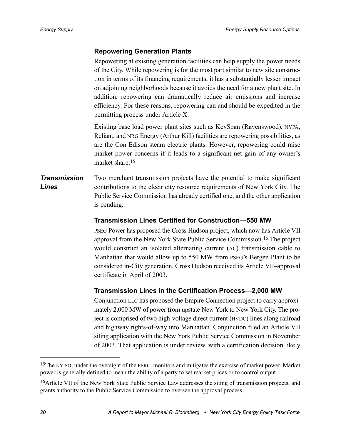#### <span id="page-27-0"></span>**Repowering Generation Plants**

Repowering at existing generation facilities can help supply the power needs of the City. While repowering is for the most part similar to new site construction in terms of its financing requirements, it has a substantially lesser impact on adjoining neighborhoods because it avoids the need for a new plant site. In addition, repowering can dramatically reduce air emissions and increase efficiency. For these reasons, repowering can and should be expedited in the permitting process under Article X.

Existing base load power plant sites such as KeySpan (Ravenswood), NYPA, Reliant, and NRG Energy (Arthur Kill) facilities are repowering possibilities, as are the Con Edison steam electric plants. However, repowering could raise market power concerns if it leads to a significant net gain of any owner's market share.<sup>15</sup>

#### Two merchant transmission projects have the potential to make significant contributions to the electricity resource requirements of New York City. The Public Service Commission has already certified one, and the other application is pending. *Transmission Lines*

#### **Transmission Lines Certified for Construction—550 MW**

PSEG Power has proposed the Cross Hudson project, which now has Article VII approval from the New York State Public Service Commission.16 The project would construct an isolated alternating current (AC) transmission cable to Manhattan that would allow up to 550 MW from PSEG's Bergen Plant to be considered in-City generation. Cross Hudson received its Article VII–approval certificate in April of 2003.

### **Transmission Lines in the Certification Process—2,000 MW**

Conjunction LLC has proposed the Empire Connection project to carry approximately 2,000 MW of power from upstate New York to New York City. The project is comprised of two high-voltage direct current (HVDC) lines along railroad and highway rights-of-way into Manhattan. Conjunction filed an Article VII siting application with the New York Public Service Commission in November of 2003. That application is under review, with a certification decision likely

1

<sup>&</sup>lt;sup>15</sup>The NYISO, under the oversight of the FERC, monitors and mitigates the exercise of market power. Market power is generally defined to mean the ability of a party to set market prices or to control output.

<sup>16</sup>Article VII of the New York State Public Service Law addresses the siting of transmission projects, and grants authority to the Public Service Commission to oversee the approval process.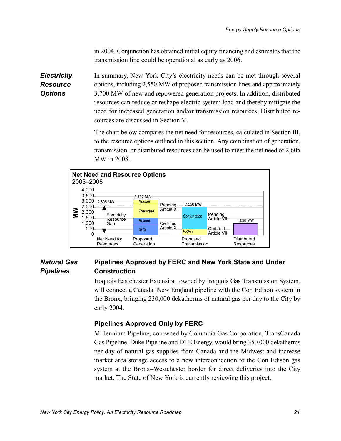in 2004. Conjunction has obtained initial equity financing and estimates that the transmission line could be operational as early as 2006.

<span id="page-28-0"></span>In summary, New York City's electricity needs can be met through several options, including 2,550 MW of proposed transmission lines and approximately 3,700 MW of new and repowered generation projects. In addition, distributed resources can reduce or reshape electric system load and thereby mitigate the need for increased generation and/or transmission resources. Distributed resources are discussed in Section [V.](#page-36-0) *Electricity Resource Options*

> The chart below compares the net need for resources, calculated in Section [III,](#page-16-0) to the resource options outlined in this section. Any combination of generation, transmission, or distributed resources can be used to meet the net need of 2,605 MW in 2008.



#### **Pipelines Approved by FERC and New York State and Under Construction** *Natural Gas Pipelines*

Iroquois Eastchester Extension, owned by Iroquois Gas Transmission System, will connect a Canada–New England pipeline with the Con Edison system in the Bronx, bringing 230,000 dekatherms of natural gas per day to the City by early 2004.

#### **Pipelines Approved Only by FERC**

Millennium Pipeline, co-owned by Columbia Gas Corporation, TransCanada Gas Pipeline, Duke Pipeline and DTE Energy, would bring 350,000 dekatherms per day of natural gas supplies from Canada and the Midwest and increase market area storage access to a new interconnection to the Con Edison gas system at the Bronx–Westchester border for direct deliveries into the City market. The State of New York is currently reviewing this project.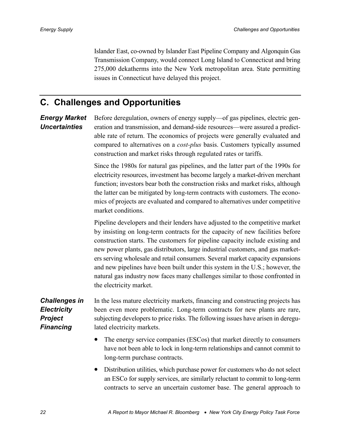Islander East, co-owned by Islander East Pipeline Company and Algonquin Gas Transmission Company, would connect Long Island to Connecticut and bring 275,000 dekatherms into the New York metropolitan area. State permitting issues in Connecticut have delayed this project.

## <span id="page-29-0"></span>**C. Challenges and Opportunities**

Before deregulation, owners of energy supply—of gas pipelines, electric generation and transmission, and demand-side resources—were assured a predictable rate of return. The economics of projects were generally evaluated and compared to alternatives on a *cost-plus* basis. Customers typically assumed construction and market risks through regulated rates or tariffs. *Energy Market Uncertainties*

> Since the 1980s for natural gas pipelines, and the latter part of the 1990s for electricity resources, investment has become largely a market-driven merchant function; investors bear both the construction risks and market risks, although the latter can be mitigated by long-term contracts with customers. The economics of projects are evaluated and compared to alternatives under competitive market conditions.

> Pipeline developers and their lenders have adjusted to the competitive market by insisting on long-term contracts for the capacity of new facilities before construction starts. The customers for pipeline capacity include existing and new power plants, gas distributors, large industrial customers, and gas marketers serving wholesale and retail consumers. Several market capacity expansions and new pipelines have been built under this system in the U.S.; however, the natural gas industry now faces many challenges similar to those confronted in the electricity market.

- In the less mature electricity markets, financing and constructing projects has been even more problematic. Long-term contracts for new plants are rare, subjecting developers to price risks. The following issues have arisen in deregulated electricity markets. *Challenges in Electricity Project Financing*
	- The energy service companies (ESCos) that market directly to consumers have not been able to lock in long-term relationships and cannot commit to long-term purchase contracts.
	- Distribution utilities, which purchase power for customers who do not select an ESCo for supply services, are similarly reluctant to commit to long-term contracts to serve an uncertain customer base. The general approach to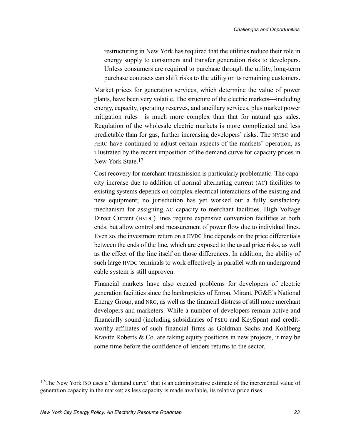restructuring in New York has required that the utilities reduce their role in energy supply to consumers and transfer generation risks to developers. Unless consumers are required to purchase through the utility, long-term purchase contracts can shift risks to the utility or its remaining customers.

Market prices for generation services, which determine the value of power plants, have been very volatile. The structure of the electric markets—including energy, capacity, operating reserves, and ancillary services, plus market power mitigation rules—is much more complex than that for natural gas sales. Regulation of the wholesale electric markets is more complicated and less predictable than for gas, further increasing developers' risks. The NYISO and FERC have continued to adjust certain aspects of the markets' operation, as illustrated by the recent imposition of the demand curve for capacity prices in New York State.17

Cost recovery for merchant transmission is particularly problematic. The capacity increase due to addition of normal alternating current (AC) facilities to existing systems depends on complex electrical interactions of the existing and new equipment; no jurisdiction has yet worked out a fully satisfactory mechanism for assigning AC capacity to merchant facilities. High Voltage Direct Current (HVDC) lines require expensive conversion facilities at both ends, but allow control and measurement of power flow due to individual lines. Even so, the investment return on a HVDC line depends on the price differentials between the ends of the line, which are exposed to the usual price risks, as well as the effect of the line itself on those differences. In addition, the ability of such large HVDC terminals to work effectively in parallel with an underground cable system is still unproven.

Financial markets have also created problems for developers of electric generation facilities since the bankruptcies of Enron, Mirant, PG&E's National Energy Group, and NRG, as well as the financial distress of still more merchant developers and marketers. While a number of developers remain active and financially sound (including subsidiaries of PSEG and KeySpan) and creditworthy affiliates of such financial firms as Goldman Sachs and Kohlberg Kravitz Roberts  $& Co.$  are taking equity positions in new projects, it may be some time before the confidence of lenders returns to the sector.

<sup>&</sup>lt;sup>17</sup>The New York ISO uses a "demand curve" that is an administrative estimate of the incremental value of generation capacity in the market; as less capacity is made available, its relative price rises.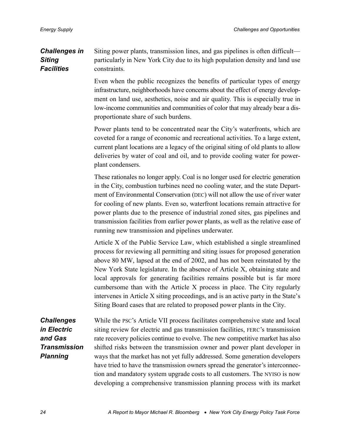#### <span id="page-31-0"></span>Siting power plants, transmission lines, and gas pipelines is often difficult particularly in New York City due to its high population density and land use constraints. *Challenges in Siting Facilities*

Even when the public recognizes the benefits of particular types of energy infrastructure, neighborhoods have concerns about the effect of energy development on land use, aesthetics, noise and air quality. This is especially true in low-income communities and communities of color that may already bear a disproportionate share of such burdens.

Power plants tend to be concentrated near the City's waterfronts, which are coveted for a range of economic and recreational activities. To a large extent, current plant locations are a legacy of the original siting of old plants to allow deliveries by water of coal and oil, and to provide cooling water for powerplant condensers.

These rationales no longer apply. Coal is no longer used for electric generation in the City, combustion turbines need no cooling water, and the state Department of Environmental Conservation (DEC) will not allow the use of river water for cooling of new plants. Even so, waterfront locations remain attractive for power plants due to the presence of industrial zoned sites, gas pipelines and transmission facilities from earlier power plants, as well as the relative ease of running new transmission and pipelines underwater.

Article X of the Public Service Law, which established a single streamlined process for reviewing all permitting and siting issues for proposed generation above 80 MW, lapsed at the end of 2002, and has not been reinstated by the New York State legislature. In the absence of Article X, obtaining state and local approvals for generating facilities remains possible but is far more cumbersome than with the Article X process in place. The City regularly intervenes in Article X siting proceedings, and is an active party in the State's Siting Board cases that are related to proposed power plants in the City.

While the PSC's Article VII process facilitates comprehensive state and local siting review for electric and gas transmission facilities, FERC's transmission rate recovery policies continue to evolve. The new competitive market has also shifted risks between the transmission owner and power plant developer in ways that the market has not yet fully addressed. Some generation developers have tried to have the transmission owners spread the generator's interconnection and mandatory system upgrade costs to all customers. The NYISO is now developing a comprehensive transmission planning process with its market *Challenges in Electric and Gas Transmission Planning*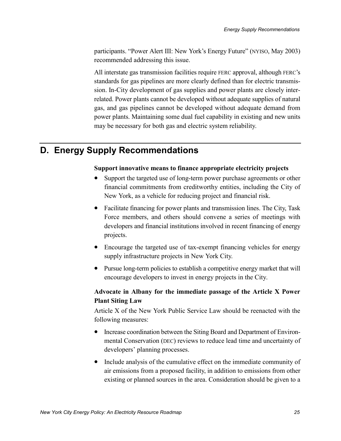<span id="page-32-0"></span>participants. "Power Alert III: New York's Energy Future" (NYISO, May 2003) recommended addressing this issue.

All interstate gas transmission facilities require FERC approval, although FERC's standards for gas pipelines are more clearly defined than for electric transmission. In-City development of gas supplies and power plants are closely interrelated. Power plants cannot be developed without adequate supplies of natural gas, and gas pipelines cannot be developed without adequate demand from power plants. Maintaining some dual fuel capability in existing and new units may be necessary for both gas and electric system reliability.

## **D. Energy Supply Recommendations**

#### **Support innovative means to finance appropriate electricity projects**

- Support the targeted use of long-term power purchase agreements or other financial commitments from creditworthy entities, including the City of New York, as a vehicle for reducing project and financial risk.
- Facilitate financing for power plants and transmission lines. The City, Task Force members, and others should convene a series of meetings with developers and financial institutions involved in recent financing of energy projects.
- Encourage the targeted use of tax-exempt financing vehicles for energy supply infrastructure projects in New York City.
- Pursue long-term policies to establish a competitive energy market that will encourage developers to invest in energy projects in the City.

#### **Advocate in Albany for the immediate passage of the Article X Power Plant Siting Law**

Article X of the New York Public Service Law should be reenacted with the following measures:

- Increase coordination between the Siting Board and Department of Environmental Conservation (DEC) reviews to reduce lead time and uncertainty of developers' planning processes.
- Include analysis of the cumulative effect on the immediate community of air emissions from a proposed facility, in addition to emissions from other existing or planned sources in the area. Consideration should be given to a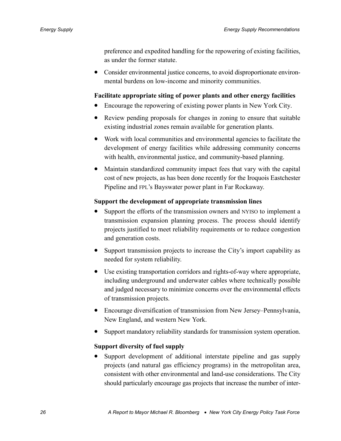preference and expedited handling for the repowering of existing facilities, as under the former statute.

• Consider environmental justice concerns, to avoid disproportionate environmental burdens on low-income and minority communities.

#### **Facilitate appropriate siting of power plants and other energy facilities**

- Encourage the repowering of existing power plants in New York City.
- Review pending proposals for changes in zoning to ensure that suitable existing industrial zones remain available for generation plants.
- Work with local communities and environmental agencies to facilitate the development of energy facilities while addressing community concerns with health, environmental justice, and community-based planning.
- Maintain standardized community impact fees that vary with the capital cost of new projects, as has been done recently for the Iroquois Eastchester Pipeline and FPL's Bayswater power plant in Far Rockaway.

#### **Support the development of appropriate transmission lines**

- Support the efforts of the transmission owners and NYISO to implement a transmission expansion planning process. The process should identify projects justified to meet reliability requirements or to reduce congestion and generation costs.
- Support transmission projects to increase the City's import capability as needed for system reliability.
- Use existing transportation corridors and rights-of-way where appropriate, including underground and underwater cables where technically possible and judged necessary to minimize concerns over the environmental effects of transmission projects.
- Encourage diversification of transmission from New Jersey–Pennsylvania, New England, and western New York.
- Support mandatory reliability standards for transmission system operation.

#### **Support diversity of fuel supply**

• Support development of additional interstate pipeline and gas supply projects (and natural gas efficiency programs) in the metropolitan area, consistent with other environmental and land-use considerations. The City should particularly encourage gas projects that increase the number of inter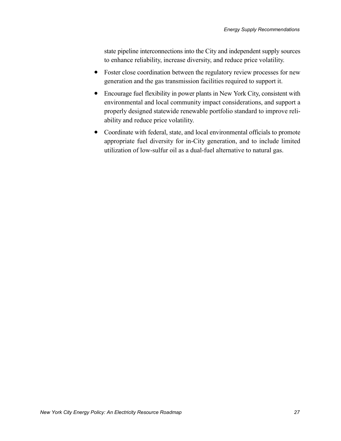state pipeline interconnections into the City and independent supply sources to enhance reliability, increase diversity, and reduce price volatility.

- Foster close coordination between the regulatory review processes for new generation and the gas transmission facilities required to support it.
- Encourage fuel flexibility in power plants in New York City, consistent with environmental and local community impact considerations, and support a properly designed statewide renewable portfolio standard to improve reliability and reduce price volatility.
- Coordinate with federal, state, and local environmental officials to promote appropriate fuel diversity for in-City generation, and to include limited utilization of low-sulfur oil as a dual-fuel alternative to natural gas.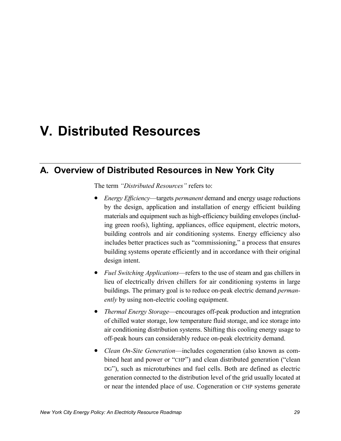# <span id="page-36-0"></span>**V. Distributed Resources**

## **A. Overview of Distributed Resources in New York City**

The term *"Distributed Resources"* refers to:

- *Energy Efficiency*—targets *permanent* demand and energy usage reductions by the design, application and installation of energy efficient building materials and equipment such as high-efficiency building envelopes (including green roofs), lighting, appliances, office equipment, electric motors, building controls and air conditioning systems. Energy efficiency also includes better practices such as "commissioning," a process that ensures building systems operate efficiently and in accordance with their original design intent.
- *Fuel Switching Applications*—refers to the use of steam and gas chillers in lieu of electrically driven chillers for air conditioning systems in large buildings. The primary goal is to reduce on-peak electric demand *permanently* by using non-electric cooling equipment.
- *Thermal Energy Storage*—encourages off-peak production and integration of chilled water storage, low temperature fluid storage, and ice storage into air conditioning distribution systems. Shifting this cooling energy usage to off-peak hours can considerably reduce on-peak electricity demand.
- *Clean On-Site Generation*—includes cogeneration (also known as combined heat and power or "CHP") and clean distributed generation ("clean DG"), such as microturbines and fuel cells. Both are defined as electric generation connected to the distribution level of the grid usually located at or near the intended place of use. Cogeneration or CHP systems generate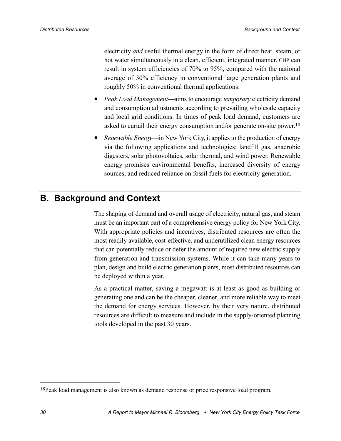<span id="page-37-0"></span>electricity *and* useful thermal energy in the form of direct heat, steam, or hot water simultaneously in a clean, efficient, integrated manner. CHP can result in system efficiencies of 70% to 95%, compared with the national average of 30% efficiency in conventional large generation plants and roughly 50% in conventional thermal applications.

- *Peak Load Management*—aims to encourage *temporary* electricity demand and consumption adjustments according to prevailing wholesale capacity and local grid conditions. In times of peak load demand, customers are asked to curtail their energy consumption and/or generate on-site power.18
- *Renewable Energy*—in New York City, it applies to the production of energy via the following applications and technologies: landfill gas, anaerobic digesters, solar photovoltaics, solar thermal, and wind power. Renewable energy promises environmental benefits, increased diversity of energy sources, and reduced reliance on fossil fuels for electricity generation.

## **B. Background and Context**

The shaping of demand and overall usage of electricity, natural gas, and steam must be an important part of a comprehensive energy policy for New York City. With appropriate policies and incentives, distributed resources are often the most readily available, cost-effective, and underutilized clean energy resources that can potentially reduce or defer the amount of required new electric supply from generation and transmission systems. While it can take many years to plan, design and build electric generation plants, most distributed resources can be deployed within a year.

As a practical matter, saving a megawatt is at least as good as building or generating one and can be the cheaper, cleaner, and more reliable way to meet the demand for energy services. However, by their very nature, distributed resources are difficult to measure and include in the supply-oriented planning tools developed in the past 30 years.

1

<sup>18</sup>Peak load management is also known as demand response or price responsive load program.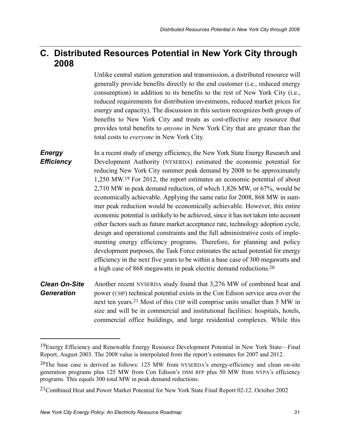## <span id="page-38-0"></span>**C. Distributed Resources Potential in New York City through 2008**

Unlike central station generation and transmission, a distributed resource will generally provide benefits directly to the end customer (i.e., reduced energy consumption) in addition to its benefits to the rest of New York City (i.e., reduced requirements for distribution investments, reduced market prices for energy and capacity). The discussion in this section recognizes both groups of benefits to New York City and treats as cost-effective any resource that provides total benefits to *anyone* in New York City that are greater than the total costs to *everyone* in New York City.

In a recent study of energy efficiency, the New York State Energy Research and Development Authority (NYSERDA) estimated the economic potential for reducing New York City summer peak demand by 2008 to be approximately 1,250 MW.19 For 2012, the report estimates an economic potential of about 2,710 MW in peak demand reduction, of which 1,826 MW, or 67%, would be economically achievable. Applying the same ratio for 2008, 868 MW in summer peak reduction would be economically achievable. However, this entire economic potential is unlikely to be achieved, since it has not taken into account other factors such as future market acceptance rate, technology adoption cycle, design and operational constraints and the full administrative costs of implementing energy efficiency programs. Therefore, for planning and policy development purposes, the Task Force estimates the actual potential for energy efficiency in the next five years to be within a base case of 300 megawatts and a high case of 868 megawatts in peak electric demand reductions.20 *Energy Efficiency*

Another recent NYSERDA study found that 3,276 MW of combined heat and power (CHP) technical potential exists in the Con Edison service area over the next ten years.21 Most of this CHP will comprise units smaller than 5 MW in size and will be in commercial and institutional facilities: hospitals, hotels, commercial office buildings, and large residential complexes. While this *Clean On-Site Generation*

<sup>19</sup>Energy Efficiency and Renewable Energy Resource Development Potential in New York State—Final Report, August 2003. The 2008 value is interpolated from the report's estimates for 2007 and 2012.

<sup>&</sup>lt;sup>20</sup>The base case is derived as follows: 125 MW from NYSERDA's energy-efficiency and clean on-site generation programs plus 125 MW from Con Edison's DSM RFP plus 50 MW from NYPA's efficiency programs. This equals 300 total MW in peak demand reductions.

<sup>21</sup>Combined Heat and Power Market Potential for New York State Final Report 02-12. October 2002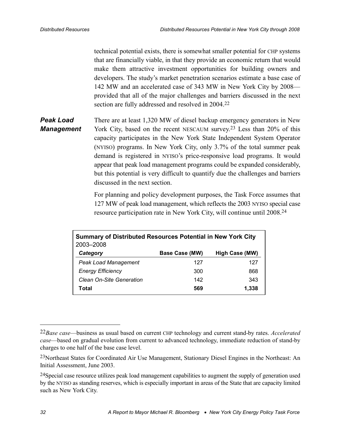<span id="page-39-0"></span>technical potential exists, there is somewhat smaller potential for CHP systems that are financially viable, in that they provide an economic return that would make them attractive investment opportunities for building owners and developers. The study's market penetration scenarios estimate a base case of 142 MW and an accelerated case of 343 MW in New York City by 2008 provided that all of the major challenges and barriers discussed in the next section are fully addressed and resolved in 2004.22

There are at least 1,320 MW of diesel backup emergency generators in New York City, based on the recent NESCAUM survey.<sup>23</sup> Less than 20% of this capacity participates in the New York State Independent System Operator (NYISO) programs. In New York City, only 3.7% of the total summer peak demand is registered in NYISO's price-responsive load programs. It would appear that peak load management programs could be expanded considerably, but this potential is very difficult to quantify due the challenges and barriers discussed in the next section. *Peak Load Management*

> For planning and policy development purposes, the Task Force assumes that 127 MW of peak load management, which reflects the 2003 NYISO special case resource participation rate in New York City, will continue until 2008.24

| Summary of Distributed Resources Potential in New York City<br>2003-2008 |                |                |
|--------------------------------------------------------------------------|----------------|----------------|
| Category                                                                 | Base Case (MW) | High Case (MW) |
| <b>Peak Load Management</b>                                              | 127            | 127            |
| <b>Energy Efficiency</b>                                                 | 300            | 868            |
| Clean On-Site Generation                                                 | 142            | 343            |
| Total                                                                    | 569            | 1,338          |

<sup>22</sup>*Base case*—business as usual based on current CHP technology and current stand-by rates. *Accelerated case*—based on gradual evolution from current to advanced technology, immediate reduction of stand-by charges to one half of the base case level.

<sup>23</sup>Northeast States for Coordinated Air Use Management, Stationary Diesel Engines in the Northeast: An Initial Assessment, June 2003.

<sup>&</sup>lt;sup>24</sup>Special case resource utilizes peak load management capabilities to augment the supply of generation used by the NYISO as standing reserves, which is especially important in areas of the State that are capacity limited such as New York City.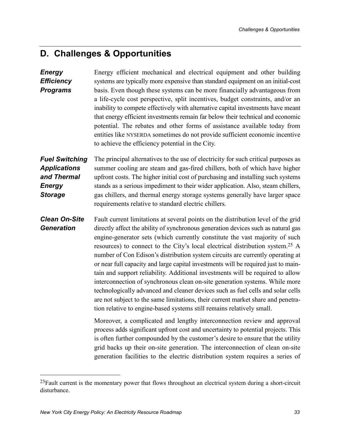## <span id="page-40-0"></span>**D. Challenges & Opportunities**

Energy efficient mechanical and electrical equipment and other building systems are typically more expensive than standard equipment on an initial-cost basis. Even though these systems can be more financially advantageous from a life-cycle cost perspective, split incentives, budget constraints, and/or an inability to compete effectively with alternative capital investments have meant that energy efficient investments remain far below their technical and economic potential. The rebates and other forms of assistance available today from entities like NYSERDA sometimes do not provide sufficient economic incentive to achieve the efficiency potential in the City. The principal alternatives to the use of electricity for such critical purposes as summer cooling are steam and gas-fired chillers, both of which have higher upfront costs. The higher initial cost of purchasing and installing such systems stands as a serious impediment to their wider application. Also, steam chillers, gas chillers, and thermal energy storage systems generally have larger space requirements relative to standard electric chillers. Fault current limitations at several points on the distribution level of the grid directly affect the ability of synchronous generation devices such as natural gas engine-generator sets (which currently constitute the vast majority of such resources) to connect to the City's local electrical distribution system.25 A number of Con Edison's distribution system circuits are currently operating at or near full capacity and large capital investments will be required just to maintain and support reliability. Additional investments will be required to allow interconnection of synchronous clean on-site generation systems. While more technologically advanced and cleaner devices such as fuel cells and solar cells are not subject to the same limitations, their current market share and penetration relative to engine-based systems still remains relatively small. Moreover, a complicated and lengthy interconnection review and approval process adds significant upfront cost and uncertainty to potential projects. This is often further compounded by the customer's desire to ensure that the utility grid backs up their on-site generation. The interconnection of clean on-site generation facilities to the electric distribution system requires a series of *Energy Efficiency Programs Fuel Switching Applications and Thermal Energy Storage Clean On-Site Generation*

<u>.</u>

<sup>&</sup>lt;sup>25</sup>Fault current is the momentary power that flows throughout an electrical system during a short-circuit disturbance.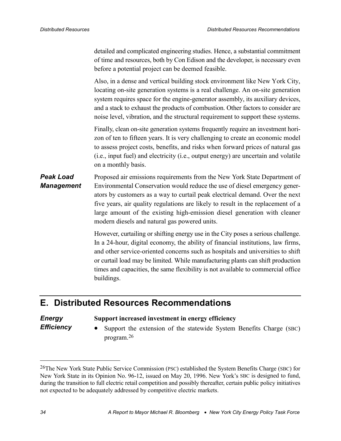<span id="page-41-0"></span>detailed and complicated engineering studies. Hence, a substantial commitment of time and resources, both by Con Edison and the developer, is necessary even before a potential project can be deemed feasible.

Also, in a dense and vertical building stock environment like New York City, locating on-site generation systems is a real challenge. An on-site generation system requires space for the engine-generator assembly, its auxiliary devices, and a stack to exhaust the products of combustion. Other factors to consider are noise level, vibration, and the structural requirement to support these systems.

Finally, clean on-site generation systems frequently require an investment horizon of ten to fifteen years. It is very challenging to create an economic model to assess project costs, benefits, and risks when forward prices of natural gas (i.e., input fuel) and electricity (i.e., output energy) are uncertain and volatile on a monthly basis.

#### Proposed air emissions requirements from the New York State Department of Environmental Conservation would reduce the use of diesel emergency generators by customers as a way to curtail peak electrical demand. Over the next five years, air quality regulations are likely to result in the replacement of a large amount of the existing high-emission diesel generation with cleaner modern diesels and natural gas powered units. *Peak Load Management*

However, curtailing or shifting energy use in the City poses a serious challenge. In a 24-hour, digital economy, the ability of financial institutions, law firms, and other service-oriented concerns such as hospitals and universities to shift or curtail load may be limited. While manufacturing plants can shift production times and capacities, the same flexibility is not available to commercial office buildings.

## **E. Distributed Resources Recommendations**

#### *Energy Efficiency*

#### **Support increased investment in energy efficiency**

• Support the extension of the statewide System Benefits Charge (SBC) program.26

<sup>26</sup>The New York State Public Service Commission (PSC) established the System Benefits Charge (SBC) for New York State in its Opinion No. 96-12, issued on May 20, 1996. New York's SBC is designed to fund, during the transition to full electric retail competition and possibly thereafter, certain public policy initiatives not expected to be adequately addressed by competitive electric markets.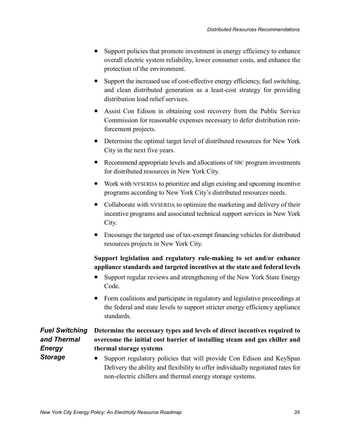- <span id="page-42-0"></span>• Support policies that promote investment in energy efficiency to enhance overall electric system reliability, lower consumer costs, and enhance the protection of the environment.
- Support the increased use of cost-effective energy efficiency, fuel switching, and clean distributed generation as a least-cost strategy for providing distribution load relief services.
- Assist Con Edison in obtaining cost recovery from the Public Service Commission for reasonable expenses necessary to defer distribution reinforcement projects.
- Determine the optimal target level of distributed resources for New York City in the next five years.
- Recommend appropriate levels and allocations of SBC program investments for distributed resources in New York City.
- Work with NYSERDA to prioritize and align existing and upcoming incentive programs according to New York City's distributed resources needs.
- Collaborate with NYSERDA to optimize the marketing and delivery of their incentive programs and associated technical support services in New York City.
- Encourage the targeted use of tax-exempt financing vehicles for distributed resources projects in New York City.

### **Support legislation and regulatory rule-making to set and/or enhance appliance standards and targeted incentives at the state and federal levels**

- Support regular reviews and strengthening of the New York State Energy Code.
- Form coalitions and participate in regulatory and legislative proceedings at the federal and state levels to support stricter energy efficiency appliance standards.

### *Fuel Switching and Thermal Energy Storage*

#### **Determine the necessary types and levels of direct incentives required to overcome the initial cost barrier of installing steam and gas chiller and thermal storage systems**

• Support regulatory policies that will provide Con Edison and KeySpan Delivery the ability and flexibility to offer individually negotiated rates for non-electric chillers and thermal energy storage systems.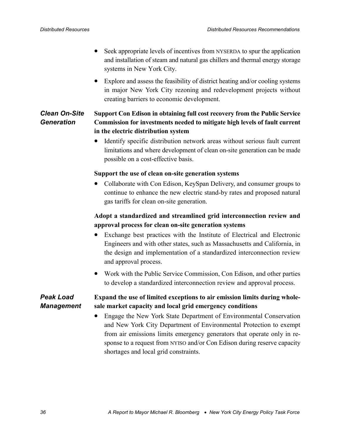- <span id="page-43-0"></span>• Seek appropriate levels of incentives from NYSERDA to spur the application and installation of steam and natural gas chillers and thermal energy storage systems in New York City.
- Explore and assess the feasibility of district heating and/or cooling systems in major New York City rezoning and redevelopment projects without creating barriers to economic development.

#### **Support Con Edison in obtaining full cost recovery from the Public Service Commission for investments needed to mitigate high levels of fault current in the electric distribution system** *Clean On-Site Generation*

• Identify specific distribution network areas without serious fault current limitations and where development of clean on-site generation can be made possible on a cost-effective basis.

#### **Support the use of clean on-site generation systems**

• Collaborate with Con Edison, KeySpan Delivery, and consumer groups to continue to enhance the new electric stand-by rates and proposed natural gas tariffs for clean on-site generation.

### **Adopt a standardized and streamlined grid interconnection review and approval process for clean on-site generation systems**

- Exchange best practices with the Institute of Electrical and Electronic Engineers and with other states, such as Massachusetts and California, in the design and implementation of a standardized interconnection review and approval process.
- Work with the Public Service Commission, Con Edison, and other parties to develop a standardized interconnection review and approval process.

#### **Expand the use of limited exceptions to air emission limits during wholesale market capacity and local grid emergency conditions** *Peak Load Management*

• Engage the New York State Department of Environmental Conservation and New York City Department of Environmental Protection to exempt from air emissions limits emergency generators that operate only in response to a request from NYISO and/or Con Edison during reserve capacity shortages and local grid constraints.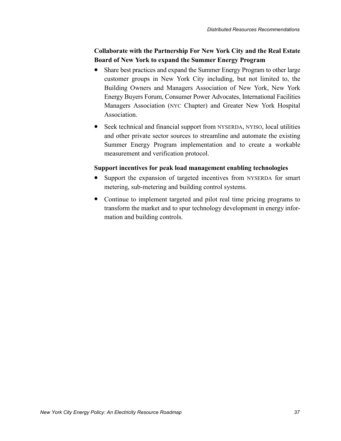### **Collaborate with the Partnership For New York City and the Real Estate Board of New York to expand the Summer Energy Program**

- Share best practices and expand the Summer Energy Program to other large customer groups in New York City including, but not limited to, the Building Owners and Managers Association of New York, New York Energy Buyers Forum, Consumer Power Advocates, International Facilities Managers Association (NYC Chapter) and Greater New York Hospital Association.
- Seek technical and financial support from NYSERDA, NYISO, local utilities and other private sector sources to streamline and automate the existing Summer Energy Program implementation and to create a workable measurement and verification protocol.

#### **Support incentives for peak load management enabling technologies**

- Support the expansion of targeted incentives from NYSERDA for smart metering, sub-metering and building control systems.
- Continue to implement targeted and pilot real time pricing programs to transform the market and to spur technology development in energy information and building controls.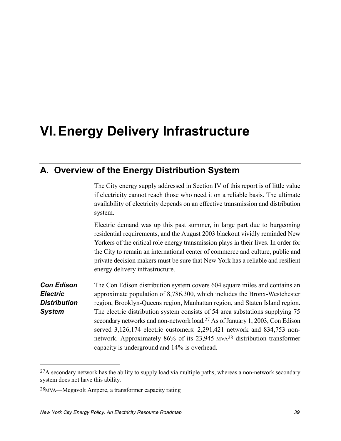# <span id="page-46-0"></span>**VI. Energy Delivery Infrastructure**

## **A. Overview of the Energy Distribution System**

The City energy supply addressed in Section [IV](#page-20-0) of this report is of little value if electricity cannot reach those who need it on a reliable basis. The ultimate availability of electricity depends on an effective transmission and distribution system.

Electric demand was up this past summer, in large part due to burgeoning residential requirements, and the August 2003 blackout vividly reminded New Yorkers of the critical role energy transmission plays in their lives. In order for the City to remain an international center of commerce and culture, public and private decision makers must be sure that New York has a reliable and resilient energy delivery infrastructure.

The Con Edison distribution system covers 604 square miles and contains an approximate population of 8,786,300, which includes the Bronx-Westchester region, Brooklyn-Queens region, Manhattan region, and Staten Island region. The electric distribution system consists of 54 area substations supplying 75 secondary networks and non-network load.<sup>27</sup> As of January 1, 2003, Con Edison served 3,126,174 electric customers: 2,291,421 network and 834,753 nonnetwork. Approximately 86% of its 23,945-MVA28 distribution transformer capacity is underground and 14% is overhead. *Con Edison Electric Distribution System*

 $^{27}$ A secondary network has the ability to supply load via multiple paths, whereas a non-network secondary system does not have this ability.

<sup>28</sup>MVA—Megavolt Ampere, a transformer capacity rating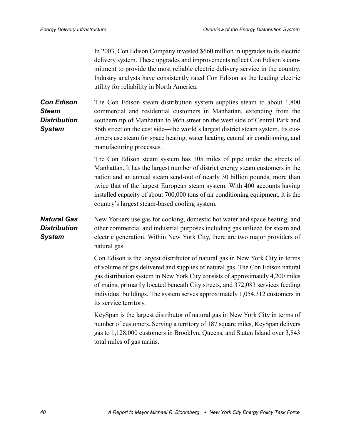<span id="page-47-0"></span>In 2003, Con Edison Company invested \$660 million in upgrades to its electric delivery system. These upgrades and improvements reflect Con Edison's commitment to provide the most reliable electric delivery service in the country. Industry analysts have consistently rated Con Edison as the leading electric utility for reliability in North America.

The Con Edison steam distribution system supplies steam to about 1,800 commercial and residential customers in Manhattan, extending from the southern tip of Manhattan to 96th street on the west side of Central Park and 86th street on the east side—the world's largest district steam system. Its customers use steam for space heating, water heating, central air conditioning, and manufacturing processes. *Con Edison Steam Distribution System*

> The Con Edison steam system has 105 miles of pipe under the streets of Manhattan. It has the largest number of district energy steam customers in the nation and an annual steam send-out of nearly 30 billion pounds, more than twice that of the largest European steam system. With 400 accounts having installed capacity of about 700,000 tons of air conditioning equipment, it is the country's largest steam-based cooling system.

#### New Yorkers use gas for cooking, domestic hot water and space heating, and other commercial and industrial purposes including gas utilized for steam and electric generation. Within New York City, there are two major providers of natural gas. *Natural Gas Distribution System*

Con Edison is the largest distributor of natural gas in New York City in terms of volume of gas delivered and supplies of natural gas. The Con Edison natural gas distribution system in New York City consists of approximately 4,200 miles of mains, primarily located beneath City streets, and 372,083 services feeding individual buildings. The system serves approximately 1,054,312 customers in its service territory.

KeySpan is the largest distributor of natural gas in New York City in terms of number of customers. Serving a territory of 187 square miles, KeySpan delivers gas to 1,128,000 customers in Brooklyn, Queens, and Staten Island over 3,843 total miles of gas mains.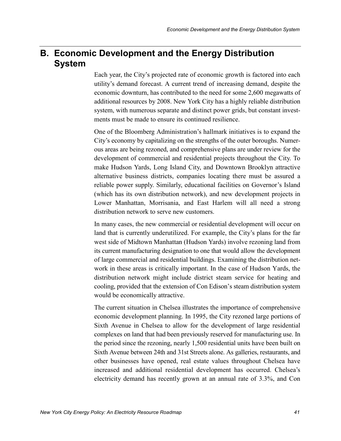## <span id="page-48-0"></span>**B. Economic Development and the Energy Distribution System**

Each year, the City's projected rate of economic growth is factored into each utility's demand forecast. A current trend of increasing demand, despite the economic downturn, has contributed to the need for some 2,600 megawatts of additional resources by 2008. New York City has a highly reliable distribution system, with numerous separate and distinct power grids, but constant investments must be made to ensure its continued resilience.

One of the Bloomberg Administration's hallmark initiatives is to expand the City's economy by capitalizing on the strengths of the outer boroughs. Numerous areas are being rezoned, and comprehensive plans are under review for the development of commercial and residential projects throughout the City. To make Hudson Yards, Long Island City, and Downtown Brooklyn attractive alternative business districts, companies locating there must be assured a reliable power supply. Similarly, educational facilities on Governor's Island (which has its own distribution network), and new development projects in Lower Manhattan, Morrisania, and East Harlem will all need a strong distribution network to serve new customers.

In many cases, the new commercial or residential development will occur on land that is currently underutilized. For example, the City's plans for the far west side of Midtown Manhattan (Hudson Yards) involve rezoning land from its current manufacturing designation to one that would allow the development of large commercial and residential buildings. Examining the distribution network in these areas is critically important. In the case of Hudson Yards, the distribution network might include district steam service for heating and cooling, provided that the extension of Con Edison's steam distribution system would be economically attractive.

The current situation in Chelsea illustrates the importance of comprehensive economic development planning. In 1995, the City rezoned large portions of Sixth Avenue in Chelsea to allow for the development of large residential complexes on land that had been previously reserved for manufacturing use. In the period since the rezoning, nearly 1,500 residential units have been built on Sixth Avenue between 24th and 31st Streets alone. As galleries, restaurants, and other businesses have opened, real estate values throughout Chelsea have increased and additional residential development has occurred. Chelsea's electricity demand has recently grown at an annual rate of 3.3%, and Con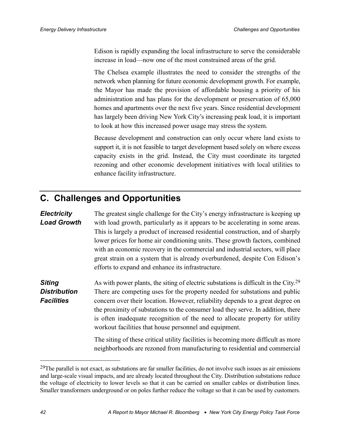<span id="page-49-0"></span>Edison is rapidly expanding the local infrastructure to serve the considerable increase in load—now one of the most constrained areas of the grid.

The Chelsea example illustrates the need to consider the strengths of the network when planning for future economic development growth. For example, the Mayor has made the provision of affordable housing a priority of his administration and has plans for the development or preservation of 65,000 homes and apartments over the next five years. Since residential development has largely been driving New York City's increasing peak load, it is important to look at how this increased power usage may stress the system.

Because development and construction can only occur where land exists to support it, it is not feasible to target development based solely on where excess capacity exists in the grid. Instead, the City must coordinate its targeted rezoning and other economic development initiatives with local utilities to enhance facility infrastructure.

# **C. Challenges and Opportunities**

#### *Electricity Load Growth*

The greatest single challenge for the City's energy infrastructure is keeping up with load growth, particularly as it appears to be accelerating in some areas. This is largely a product of increased residential construction, and of sharply lower prices for home air conditioning units. These growth factors, combined with an economic recovery in the commercial and industrial sectors, will place great strain on a system that is already overburdened, despite Con Edison's efforts to expand and enhance its infrastructure.

As with power plants, the siting of electric substations is difficult in the City.29 There are competing uses for the property needed for substations and public concern over their location. However, reliability depends to a great degree on the proximity of substations to the consumer load they serve. In addition, there is often inadequate recognition of the need to allocate property for utility workout facilities that house personnel and equipment. *Siting Distribution Facilities*

> The siting of these critical utility facilities is becoming more difficult as more neighborhoods are rezoned from manufacturing to residential and commercial

1

 $29$ The parallel is not exact, as substations are far smaller facilities, do not involve such issues as air emissions and large-scale visual impacts, and are already located throughout the City. Distribution substations reduce the voltage of electricity to lower levels so that it can be carried on smaller cables or distribution lines. Smaller transformers underground or on poles further reduce the voltage so that it can be used by customers.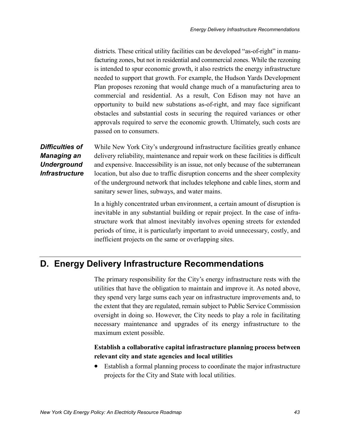<span id="page-50-0"></span>districts. These critical utility facilities can be developed "as-of-right" in manufacturing zones, but not in residential and commercial zones. While the rezoning is intended to spur economic growth, it also restricts the energy infrastructure needed to support that growth. For example, the Hudson Yards Development Plan proposes rezoning that would change much of a manufacturing area to commercial and residential. As a result, Con Edison may not have an opportunity to build new substations as-of-right, and may face significant obstacles and substantial costs in securing the required variances or other approvals required to serve the economic growth. Ultimately, such costs are passed on to consumers.

## *Difficulties of Managing an Underground Infrastructure*

While New York City's underground infrastructure facilities greatly enhance delivery reliability, maintenance and repair work on these facilities is difficult and expensive. Inaccessibility is an issue, not only because of the subterranean location, but also due to traffic disruption concerns and the sheer complexity of the underground network that includes telephone and cable lines, storm and sanitary sewer lines, subways, and water mains.

In a highly concentrated urban environment, a certain amount of disruption is inevitable in any substantial building or repair project. In the case of infrastructure work that almost inevitably involves opening streets for extended periods of time, it is particularly important to avoid unnecessary, costly, and inefficient projects on the same or overlapping sites.

## **D. Energy Delivery Infrastructure Recommendations**

The primary responsibility for the City's energy infrastructure rests with the utilities that have the obligation to maintain and improve it. As noted above, they spend very large sums each year on infrastructure improvements and, to the extent that they are regulated, remain subject to Public Service Commission oversight in doing so. However, the City needs to play a role in facilitating necessary maintenance and upgrades of its energy infrastructure to the maximum extent possible.

#### **Establish a collaborative capital infrastructure planning process between relevant city and state agencies and local utilities**

• Establish a formal planning process to coordinate the major infrastructure projects for the City and State with local utilities.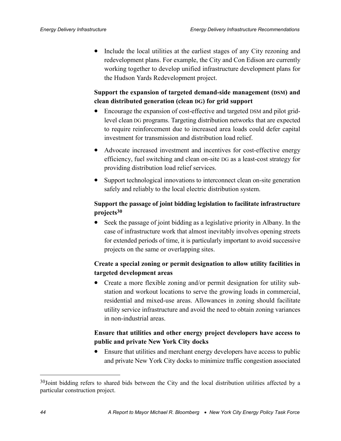• Include the local utilities at the earliest stages of any City rezoning and redevelopment plans. For example, the City and Con Edison are currently working together to develop unified infrastructure development plans for the Hudson Yards Redevelopment project.

### **Support the expansion of targeted demand-side management (DSM) and clean distributed generation (clean DG) for grid support**

- Encourage the expansion of cost-effective and targeted DSM and pilot gridlevel clean DG programs. Targeting distribution networks that are expected to require reinforcement due to increased area loads could defer capital investment for transmission and distribution load relief.
- Advocate increased investment and incentives for cost-effective energy efficiency, fuel switching and clean on-site DG as a least-cost strategy for providing distribution load relief services.
- Support technological innovations to interconnect clean on-site generation safely and reliably to the local electric distribution system.

### **Support the passage of joint bidding legislation to facilitate infrastructure projects30**

• Seek the passage of joint bidding as a legislative priority in Albany. In the case of infrastructure work that almost inevitably involves opening streets for extended periods of time, it is particularly important to avoid successive projects on the same or overlapping sites.

### **Create a special zoning or permit designation to allow utility facilities in targeted development areas**

• Create a more flexible zoning and/or permit designation for utility substation and workout locations to serve the growing loads in commercial, residential and mixed-use areas. Allowances in zoning should facilitate utility service infrastructure and avoid the need to obtain zoning variances in non-industrial areas.

### **Ensure that utilities and other energy project developers have access to public and private New York City docks**

• Ensure that utilities and merchant energy developers have access to public and private New York City docks to minimize traffic congestion associated

<u>.</u>

<sup>&</sup>lt;sup>30</sup>Joint bidding refers to shared bids between the City and the local distribution utilities affected by a particular construction project.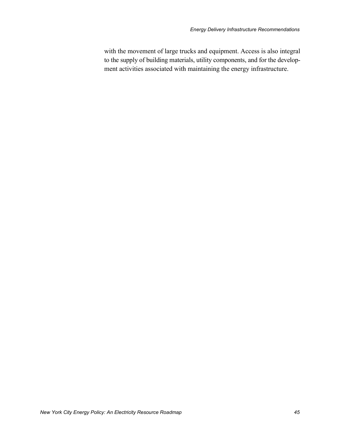with the movement of large trucks and equipment. Access is also integral to the supply of building materials, utility components, and for the development activities associated with maintaining the energy infrastructure.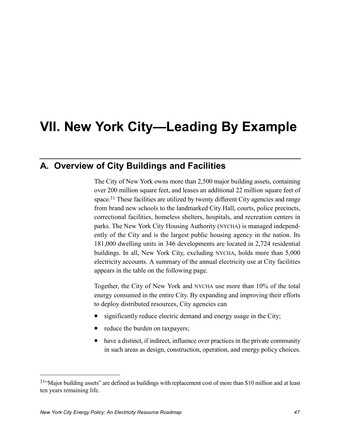# <span id="page-54-0"></span>**VII. New York City—Leading By Example**

# **A. Overview of City Buildings and Facilities**

The City of New York owns more than 2,500 major building assets, containing over 200 million square feet, and leases an additional 22 million square feet of space.<sup>31</sup> These facilities are utilized by twenty different City agencies and range from brand new schools to the landmarked City Hall, courts, police precincts, correctional facilities, homeless shelters, hospitals, and recreation centers in parks. The New York City Housing Authority (NYCHA) is managed independently of the City and is the largest public housing agency in the nation. Its 181,000 dwelling units in 346 developments are located in 2,724 residential buildings. In all, New York City, excluding NYCHA, holds more than 5,000 electricity accounts. A summary of the annual electricity use at City facilities appears in the table on the following page.

Together, the City of New York and NYCHA use more than 10% of the total energy consumed in the entire City. By expanding and improving their efforts to deploy distributed resources, City agencies can

- significantly reduce electric demand and energy usage in the City;
- reduce the burden on taxpayers;
- have a distinct, if indirect, influence over practices in the private community in such areas as design, construction, operation, and energy policy choices.

<sup>31&</sup>quot;Major building assets" are defined as buildings with replacement cost of more than \$10 million and at least ten years remaining life.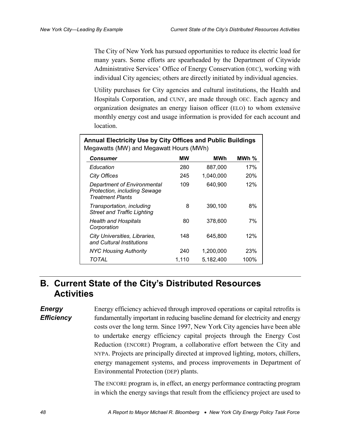<span id="page-55-0"></span>The City of New York has pursued opportunities to reduce its electric load for many years. Some efforts are spearheaded by the Department of Citywide Administrative Services' Office of Energy Conservation (OEC), working with individual City agencies; others are directly initiated by individual agencies.

Utility purchases for City agencies and cultural institutions, the Health and Hospitals Corporation, and CUNY, are made through OEC. Each agency and organization designates an energy liaison officer (ELO) to whom extensive monthly energy cost and usage information is provided for each account and location.

| <b>Annual Electricity Use by City Offices and Public Buildings</b><br>Megawatts (MW) and Megawatt Hours (MWh) |       |           |          |
|---------------------------------------------------------------------------------------------------------------|-------|-----------|----------|
| Consumer                                                                                                      | МW    | MWh       | MWh $\%$ |
| Education                                                                                                     | 280   | 887,000   | 17%      |
| <b>City Offices</b>                                                                                           | 245   | 1,040,000 | 20%      |
| <b>Department of Environmental</b><br><b>Protection, including Sewage</b><br><b>Treatment Plants</b>          | 109   | 640,900   | 12%      |
| Transportation, including<br><b>Street and Traffic Lighting</b>                                               | 8     | 390,100   | 8%       |
| Health and Hospitals<br>Corporation                                                                           | 80    | 378,600   | 7%       |
| City Universities, Libraries,<br>and Cultural Institutions                                                    | 148   | 645,800   | 12%      |
| <b>NYC Housing Authority</b>                                                                                  | 240   | 1,200,000 | 23%      |
| TOTAL                                                                                                         | 1.110 | 5.182.400 | 100%     |

## **B. Current State of the City's Distributed Resources Activities**

*Energy Efficiency* Energy efficiency achieved through improved operations or capital retrofits is fundamentally important in reducing baseline demand for electricity and energy costs over the long term. Since 1997, New York City agencies have been able to undertake energy efficiency capital projects through the Energy Cost Reduction (ENCORE) Program, a collaborative effort between the City and NYPA. Projects are principally directed at improved lighting, motors, chillers, energy management systems, and process improvements in Department of Environmental Protection (DEP) plants.

The ENCORE program is, in effect, an energy performance contracting program in which the energy savings that result from the efficiency project are used to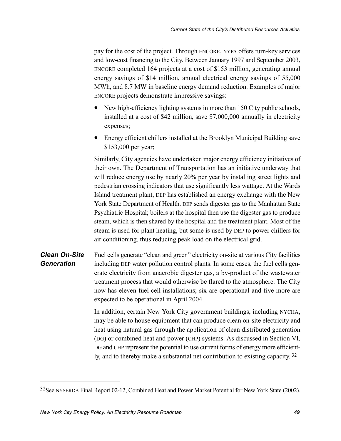<span id="page-56-0"></span>pay for the cost of the project. Through ENCORE, NYPA offers turn-key services and low-cost financing to the City. Between January 1997 and September 2003, ENCORE completed 164 projects at a cost of \$153 million, generating annual energy savings of \$14 million, annual electrical energy savings of 55,000 MWh, and 8.7 MW in baseline energy demand reduction. Examples of major ENCORE projects demonstrate impressive savings:

- New high-efficiency lighting systems in more than 150 City public schools, installed at a cost of \$42 million, save \$7,000,000 annually in electricity expenses;
- Energy efficient chillers installed at the Brooklyn Municipal Building save \$153,000 per year;

Similarly, City agencies have undertaken major energy efficiency initiatives of their own. The Department of Transportation has an initiative underway that will reduce energy use by nearly 20% per year by installing street lights and pedestrian crossing indicators that use significantly less wattage. At the Wards Island treatment plant, DEP has established an energy exchange with the New York State Department of Health. DEP sends digester gas to the Manhattan State Psychiatric Hospital; boilers at the hospital then use the digester gas to produce steam, which is then shared by the hospital and the treatment plant. Most of the steam is used for plant heating, but some is used by DEP to power chillers for air conditioning, thus reducing peak load on the electrical grid.

Fuel cells generate "clean and green" electricity on-site at various City facilities including DEP water pollution control plants. In some cases, the fuel cells generate electricity from anaerobic digester gas, a by-product of the wastewater treatment process that would otherwise be flared to the atmosphere. The City now has eleven fuel cell installations; six are operational and five more are expected to be operational in April 2004. *Clean On-Site Generation*

> In addition, certain New York City government buildings, including NYCHA, may be able to house equipment that can produce clean on-site electricity and heat using natural gas through the application of clean distributed generation (DG) or combined heat and power (CHP) systems. As discussed in Section [VI,](#page-46-0) DG and CHP represent the potential to use current forms of energy more efficiently, and to thereby make a substantial net contribution to existing capacity. 32

<sup>32</sup>See NYSERDA Final Report 02-12, Combined Heat and Power Market Potential for New York State (2002).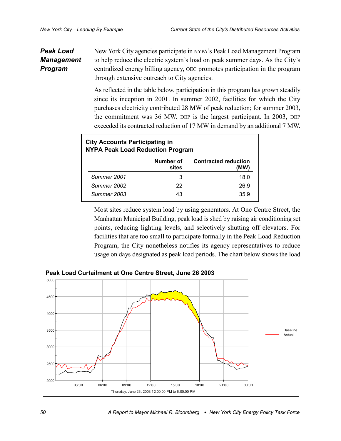#### <span id="page-57-0"></span>New York City agencies participate in NYPA's Peak Load Management Program to help reduce the electric system's load on peak summer days. As the City's centralized energy billing agency, OEC promotes participation in the program through extensive outreach to City agencies. *Peak Load Management Program*

As reflected in the table below, participation in this program has grown steadily since its inception in 2001. In summer 2002, facilities for which the City purchases electricity contributed 28 MW of peak reduction; for summer 2003, the commitment was 36 MW. DEP is the largest participant. In 2003, DEP exceeded its contracted reduction of 17 MW in demand by an additional 7 MW.

| <b>City Accounts Participating in</b><br><b>NYPA Peak Load Reduction Program</b> |             |                    |                                     |
|----------------------------------------------------------------------------------|-------------|--------------------|-------------------------------------|
|                                                                                  |             | Number of<br>sites | <b>Contracted reduction</b><br>(MW) |
|                                                                                  | Summer 2001 | 3                  | 18.0                                |
|                                                                                  | Summer 2002 | 22                 | 26.9                                |
|                                                                                  | Summer 2003 | 43                 | 359                                 |

Most sites reduce system load by using generators. At One Centre Street, the Manhattan Municipal Building, peak load is shed by raising air conditioning set points, reducing lighting levels, and selectively shutting off elevators. For facilities that are too small to participate formally in the Peak Load Reduction Program, the City nonetheless notifies its agency representatives to reduce usage on days designated as peak load periods. The chart below shows the load

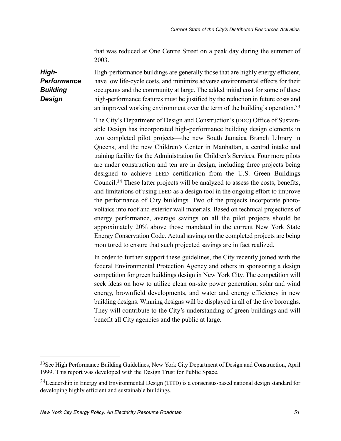that was reduced at One Centre Street on a peak day during the summer of 2003.

<span id="page-58-0"></span>High-performance buildings are generally those that are highly energy efficient, have low life-cycle costs, and minimize adverse environmental effects for their occupants and the community at large. The added initial cost for some of these high-performance features must be justified by the reduction in future costs and an improved working environment over the term of the building's operation.33 *High-Performance Building Design*

> The City's Department of Design and Construction's (DDC) Office of Sustainable Design has incorporated high-performance building design elements in two completed pilot projects—the new South Jamaica Branch Library in Queens, and the new Children's Center in Manhattan, a central intake and training facility for the Administration for Children's Services. Four more pilots are under construction and ten are in design, including three projects being designed to achieve LEED certification from the U.S. Green Buildings Council.34 These latter projects will be analyzed to assess the costs, benefits, and limitations of using LEED as a design tool in the ongoing effort to improve the performance of City buildings. Two of the projects incorporate photovoltaics into roof and exterior wall materials. Based on technical projections of energy performance, average savings on all the pilot projects should be approximately 20% above those mandated in the current New York State Energy Conservation Code. Actual savings on the completed projects are being monitored to ensure that such projected savings are in fact realized.

> In order to further support these guidelines, the City recently joined with the federal Environmental Protection Agency and others in sponsoring a design competition for green buildings design in New York City. The competition will seek ideas on how to utilize clean on-site power generation, solar and wind energy, brownfield developments, and water and energy efficiency in new building designs. Winning designs will be displayed in all of the five boroughs. They will contribute to the City's understanding of green buildings and will benefit all City agencies and the public at large.

<sup>33</sup>See High Performance Building Guidelines, New York City Department of Design and Construction, April 1999. This report was developed with the Design Trust for Public Space.

<sup>34</sup>Leadership in Energy and Environmental Design (LEED) is a consensus-based national design standard for developing highly efficient and sustainable buildings.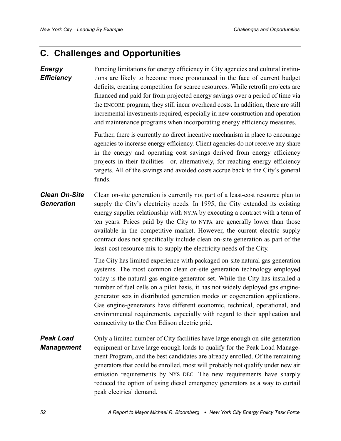## <span id="page-59-0"></span>**C. Challenges and Opportunities**

#### Funding limitations for energy efficiency in City agencies and cultural institutions are likely to become more pronounced in the face of current budget deficits, creating competition for scarce resources. While retrofit projects are financed and paid for from projected energy savings over a period of time via the ENCORE program, they still incur overhead costs. In addition, there are still incremental investments required, especially in new construction and operation and maintenance programs when incorporating energy efficiency measures. *Energy Efficiency*

Further, there is currently no direct incentive mechanism in place to encourage agencies to increase energy efficiency. Client agencies do not receive any share in the energy and operating cost savings derived from energy efficiency projects in their facilities—or, alternatively, for reaching energy efficiency targets. All of the savings and avoided costs accrue back to the City's general funds.

Clean on-site generation is currently not part of a least-cost resource plan to supply the City's electricity needs*.* In 1995, the City extended its existing energy supplier relationship with NYPA by executing a contract with a term of ten years. Prices paid by the City to NYPA are generally lower than those available in the competitive market. However, the current electric supply contract does not specifically include clean on-site generation as part of the least-cost resource mix to supply the electricity needs of the City. *Clean On-Site Generation*

> The City has limited experience with packaged on-site natural gas generation systems. The most common clean on-site generation technology employed today is the natural gas engine-generator set. While the City has installed a number of fuel cells on a pilot basis, it has not widely deployed gas enginegenerator sets in distributed generation modes or cogeneration applications. Gas engine-generators have different economic, technical, operational, and environmental requirements, especially with regard to their application and connectivity to the Con Edison electric grid.

Only a limited number of City facilities have large enough on-site generation equipment or have large enough loads to qualify for the Peak Load Management Program, and the best candidates are already enrolled. Of the remaining generators that could be enrolled, most will probably not qualify under new air emission requirements by NYS DEC. The new requirements have sharply reduced the option of using diesel emergency generators as a way to curtail peak electrical demand. *Peak Load Management*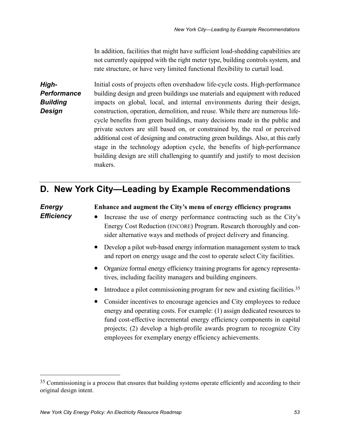In addition, facilities that might have sufficient load-shedding capabilities are not currently equipped with the right meter type, building controls system, and rate structure, or have very limited functional flexibility to curtail load.

<span id="page-60-0"></span>Initial costs of projects often overshadow life-cycle costs. High-performance building design and green buildings use materials and equipment with reduced impacts on global, local, and internal environments during their design, construction, operation, demolition, and reuse. While there are numerous lifecycle benefits from green buildings, many decisions made in the public and private sectors are still based on, or constrained by, the real or perceived additional cost of designing and constructing green buildings. Also, at this early stage in the technology adoption cycle, the benefits of high-performance building design are still challenging to quantify and justify to most decision makers. *High-Performance Building Design*

## **D. New York City—Leading by Example Recommendations**

### **Enhance and augment the City's menu of energy efficiency programs** • Increase the use of energy performance contracting such as the City's Energy Cost Reduction (ENCORE) Program. Research thoroughly and consider alternative ways and methods of project delivery and financing. • Develop a pilot web-based energy information management system to track and report on energy usage and the cost to operate select City facilities. • Organize formal energy efficiency training programs for agency representatives, including facility managers and building engineers. • Introduce a pilot commissioning program for new and existing facilities.<sup>35</sup> • Consider incentives to encourage agencies and City employees to reduce energy and operating costs. For example: (1) assign dedicated resources to fund cost-effective incremental energy efficiency components in capital *Energy Efficiency*

employees for exemplary energy efficiency achievements.

projects; (2) develop a high-profile awards program to recognize City

<u>.</u>

<sup>&</sup>lt;sup>35</sup> Commissioning is a process that ensures that building systems operate efficiently and according to their original design intent.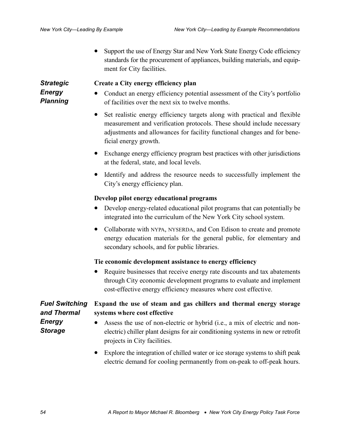• Support the use of Energy Star and New York State Energy Code efficiency standards for the procurement of appliances, building materials, and equipment for City facilities.

<span id="page-61-0"></span>*Strategic Energy Planning*

#### **Create a City energy efficiency plan**

- Conduct an energy efficiency potential assessment of the City's portfolio of facilities over the next six to twelve months.
- Set realistic energy efficiency targets along with practical and flexible measurement and verification protocols. These should include necessary adjustments and allowances for facility functional changes and for beneficial energy growth.
- Exchange energy efficiency program best practices with other jurisdictions at the federal, state, and local levels.
- Identify and address the resource needs to successfully implement the City's energy efficiency plan.

#### **Develop pilot energy educational programs**

- Develop energy-related educational pilot programs that can potentially be integrated into the curriculum of the New York City school system.
- Collaborate with NYPA, NYSERDA, and Con Edison to create and promote energy education materials for the general public, for elementary and secondary schools, and for public libraries.

#### **Tie economic development assistance to energy efficiency**

• Require businesses that receive energy rate discounts and tax abatements through City economic development programs to evaluate and implement cost-effective energy efficiency measures where cost effective.

|                | <b>Fuel Switching</b> Expand the use of steam and gas chillers and thermal energy storage |
|----------------|-------------------------------------------------------------------------------------------|
| and Thermal    | systems where cost effective                                                              |
| <b>Energy</b>  | • Assess the use of non-electric or hybrid (i.e., a mix of electric and non-              |
| <b>Storage</b> | electric) chiller plant designs for air conditioning systems in new or retrofit           |

- electric) chiller plant designs for air conditioning systems in new or retrofit projects in City facilities.
	- Explore the integration of chilled water or ice storage systems to shift peak electric demand for cooling permanently from on-peak to off-peak hours.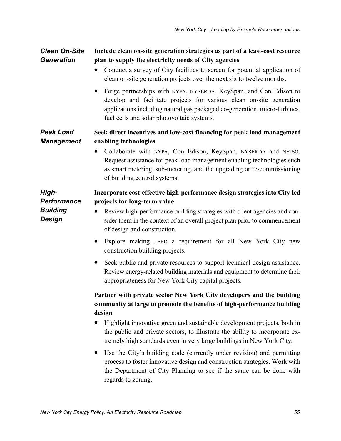#### <span id="page-62-0"></span>**Include clean on-site generation strategies as part of a least-cost resource plan to supply the electricity needs of City agencies** *Clean On-Site Generation*

- Conduct a survey of City facilities to screen for potential application of clean on-site generation projects over the next six to twelve months.
- Forge partnerships with NYPA, NYSERDA, KeySpan, and Con Edison to develop and facilitate projects for various clean on-site generation applications including natural gas packaged co-generation, micro-turbines, fuel cells and solar photovoltaic systems.

#### **Seek direct incentives and low-cost financing for peak load management enabling technologies** *Peak Load Management*

• Collaborate with NYPA, Con Edison, KeySpan, NYSERDA and NYISO. Request assistance for peak load management enabling technologies such as smart metering, sub-metering, and the upgrading or re-commissioning of building control systems.

#### **Incorporate cost-effective high-performance design strategies into City-led projects for long-term value**

*Performance Building Design*

*High-*

- Review high-performance building strategies with client agencies and consider them in the context of an overall project plan prior to commencement of design and construction.
- Explore making LEED a requirement for all New York City new construction building projects.
- Seek public and private resources to support technical design assistance. Review energy-related building materials and equipment to determine their appropriateness for New York City capital projects.

### **Partner with private sector New York City developers and the building community at large to promote the benefits of high-performance building design**

- Highlight innovative green and sustainable development projects, both in the public and private sectors, to illustrate the ability to incorporate extremely high standards even in very large buildings in New York City.
- Use the City's building code (currently under revision) and permitting process to foster innovative design and construction strategies. Work with the Department of City Planning to see if the same can be done with regards to zoning.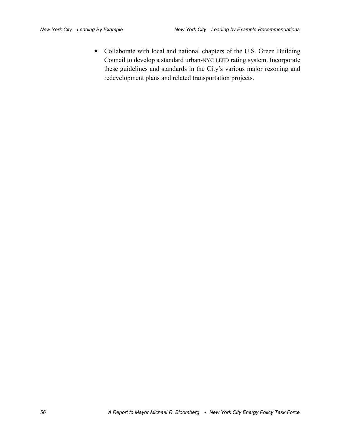• Collaborate with local and national chapters of the U.S. Green Building Council to develop a standard urban-NYC LEED rating system. Incorporate these guidelines and standards in the City's various major rezoning and redevelopment plans and related transportation projects.